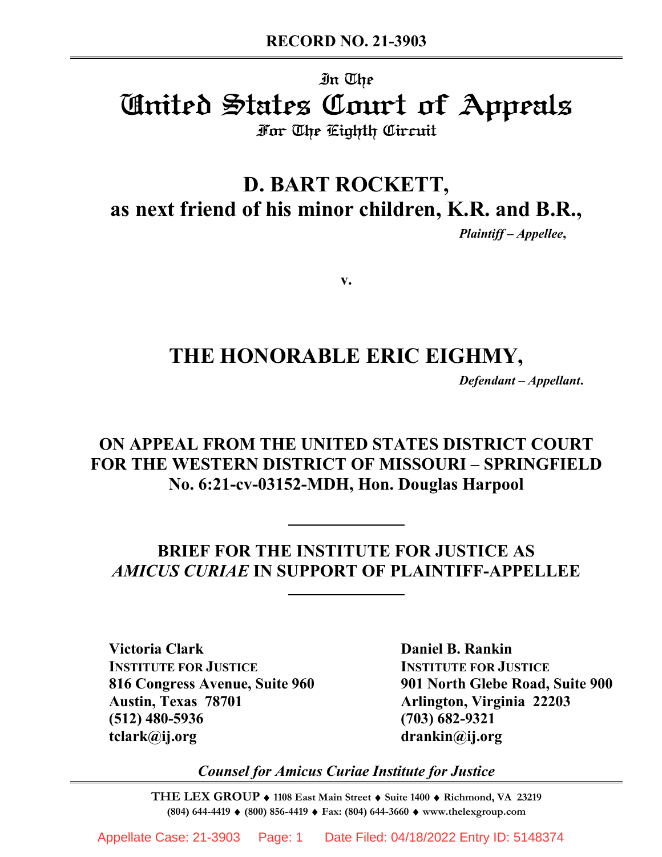# In The United States Court of Appeals For The Eighth Circuit

# **D. BART ROCKETT, as next friend of his minor children, K.R. and B.R.,**

*Plaintiff – Appellee***,**

**v.**

# **THE HONORABLE ERIC EIGHMY,**

*Defendant – Appellant***.**

# **ON APPEAL FROM THE UNITED STATES DISTRICT COURT FOR THE WESTERN DISTRICT OF MISSOURI – SPRINGFIELD No. 6:21-cv-03152-MDH, Hon. Douglas Harpool**

**BRIEF FOR THE INSTITUTE FOR JUSTICE AS**  *AMICUS CURIAE* **IN SUPPORT OF PLAINTIFF-APPELLEE**

**Victoria Clark Daniel B. Rankin INSTITUTE FOR JUSTICE INSTITUTE FOR JUSTICE Austin, Texas 78701 Arlington, Virginia 22203 (512) 480-5936 (703) 682-9321 tclark@ij.org drankin@ij.org**

**816 Congress Avenue, Suite 960 901 North Glebe Road, Suite 900**

*Counsel for Amicus Curiae Institute for Justice*

**THE LEX GROUP** ♦ **1108 East Main Street** ♦ **Suite 1400** ♦ **Richmond, VA 23219 (804) 644-4419** ♦ **(800) 856-4419** ♦ **Fax: (804) 644-3660** ♦ **www.thelexgroup.com**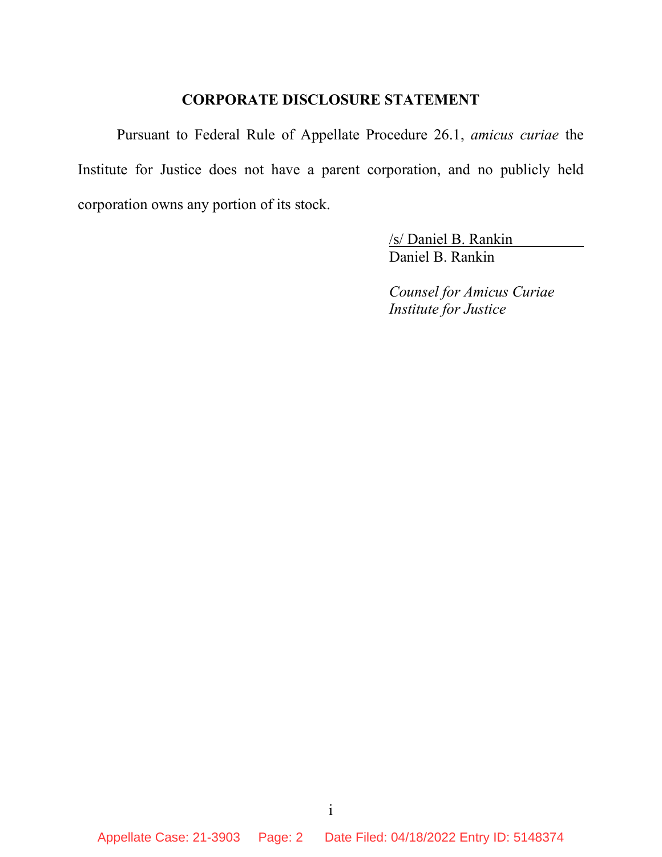#### **CORPORATE DISCLOSURE STATEMENT**

Pursuant to Federal Rule of Appellate Procedure 26.1, *amicus curiae* the Institute for Justice does not have a parent corporation, and no publicly held corporation owns any portion of its stock.

> /s/ Daniel B. Rankin Daniel B. Rankin

*Counsel for Amicus Curiae Institute for Justice*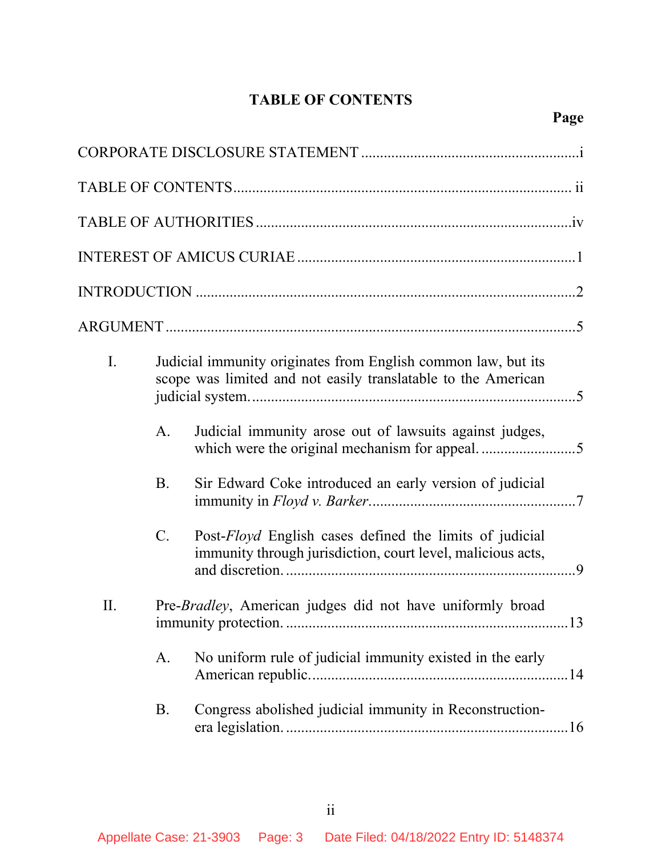# **TABLE OF CONTENTS**

| $\mathbf{I}$ . |           | Judicial immunity originates from English common law, but its<br>scope was limited and not easily translatable to the American |
|----------------|-----------|--------------------------------------------------------------------------------------------------------------------------------|
|                | A.        | Judicial immunity arose out of lawsuits against judges,                                                                        |
|                | <b>B.</b> | Sir Edward Coke introduced an early version of judicial                                                                        |
|                | $C$ .     | Post-Floyd English cases defined the limits of judicial<br>immunity through jurisdiction, court level, malicious acts,         |
| II.            |           | Pre- <i>Bradley</i> , American judges did not have uniformly broad                                                             |
|                | A.        | No uniform rule of judicial immunity existed in the early                                                                      |
|                | B.        | Congress abolished judicial immunity in Reconstruction-                                                                        |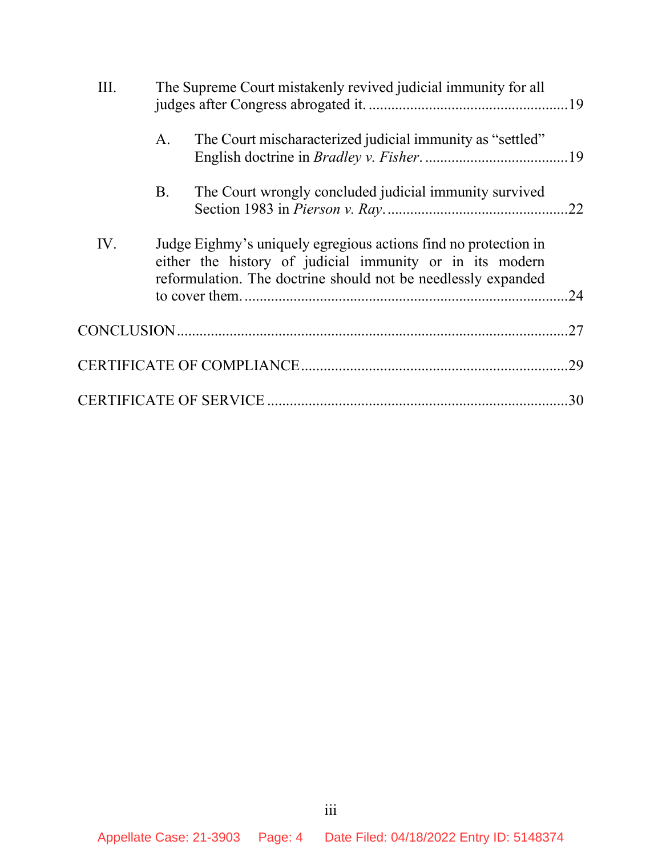| III. | The Supreme Court mistakenly revived judicial immunity for all                                                                                                                               |     |
|------|----------------------------------------------------------------------------------------------------------------------------------------------------------------------------------------------|-----|
|      | The Court mischaracterized judicial immunity as "settled"<br>A.                                                                                                                              |     |
|      | The Court wrongly concluded judicial immunity survived<br>B.                                                                                                                                 | .22 |
| IV.  | Judge Eighmy's uniquely egregious actions find no protection in<br>either the history of judicial immunity or in its modern<br>reformulation. The doctrine should not be needlessly expanded | .24 |
|      |                                                                                                                                                                                              | .27 |
|      |                                                                                                                                                                                              |     |
|      |                                                                                                                                                                                              |     |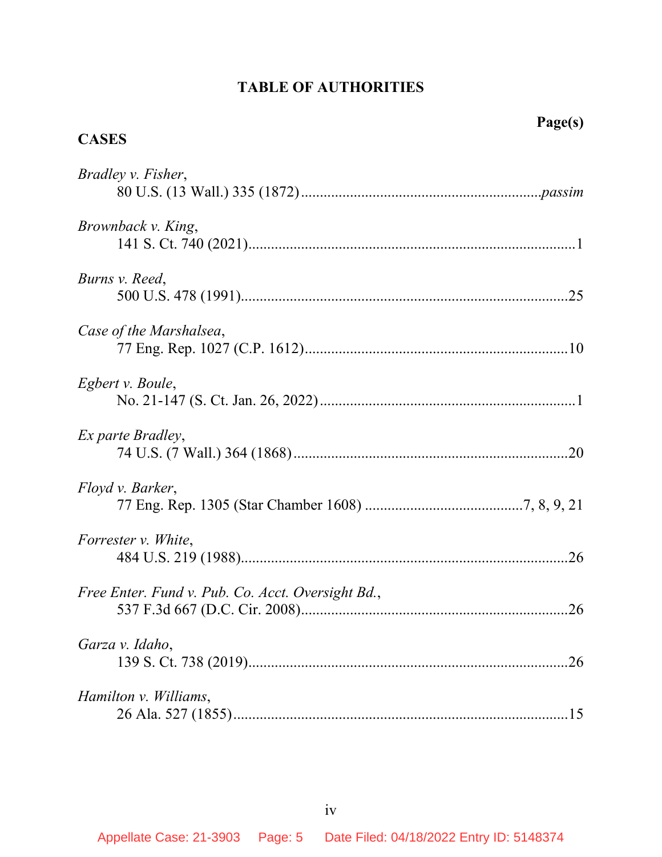### **TABLE OF AUTHORITIES**

#### **CASES**

| Bradley v. Fisher,                                |
|---------------------------------------------------|
| Brownback v. King,                                |
| Burns v. Reed,                                    |
| Case of the Marshalsea,                           |
| Egbert v. Boule,                                  |
| Ex parte Bradley,                                 |
| Floyd v. Barker,                                  |
| Forrester v. White,                               |
| Free Enter. Fund v. Pub. Co. Acct. Oversight Bd., |
| Garza v. Idaho,                                   |
| Hamilton v. Williams,                             |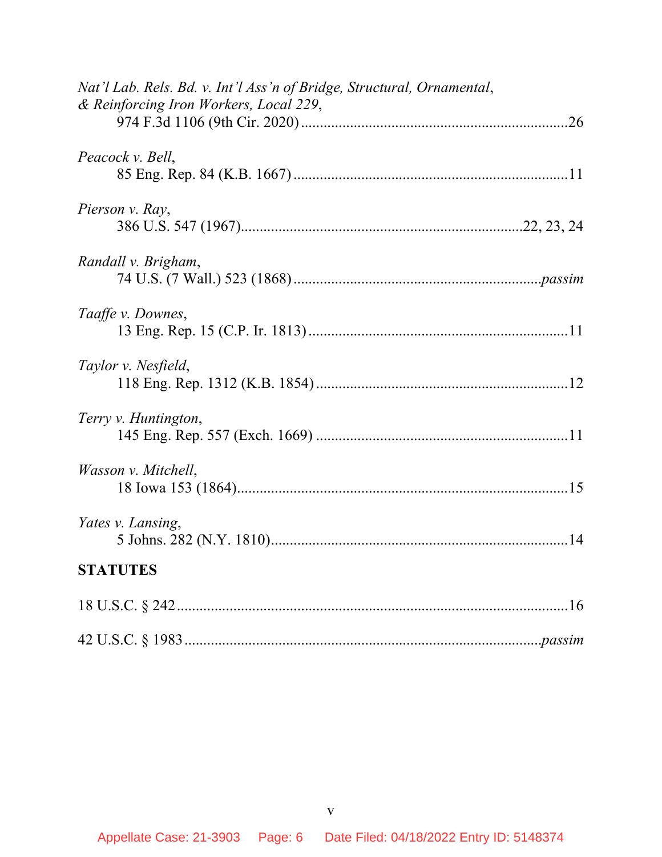| Nat'l Lab. Rels. Bd. v. Int'l Ass'n of Bridge, Structural, Ornamental,<br>& Reinforcing Iron Workers, Local 229, |
|------------------------------------------------------------------------------------------------------------------|
|                                                                                                                  |
| Peacock v. Bell,                                                                                                 |
| Pierson v. Ray,                                                                                                  |
| Randall v. Brigham,                                                                                              |
| Taaffe v. Downes,                                                                                                |
| Taylor v. Nesfield,                                                                                              |
| Terry v. Huntington,                                                                                             |
| Wasson v. Mitchell,                                                                                              |
| Yates v. Lansing,                                                                                                |
| <b>STATUTES</b>                                                                                                  |
|                                                                                                                  |
|                                                                                                                  |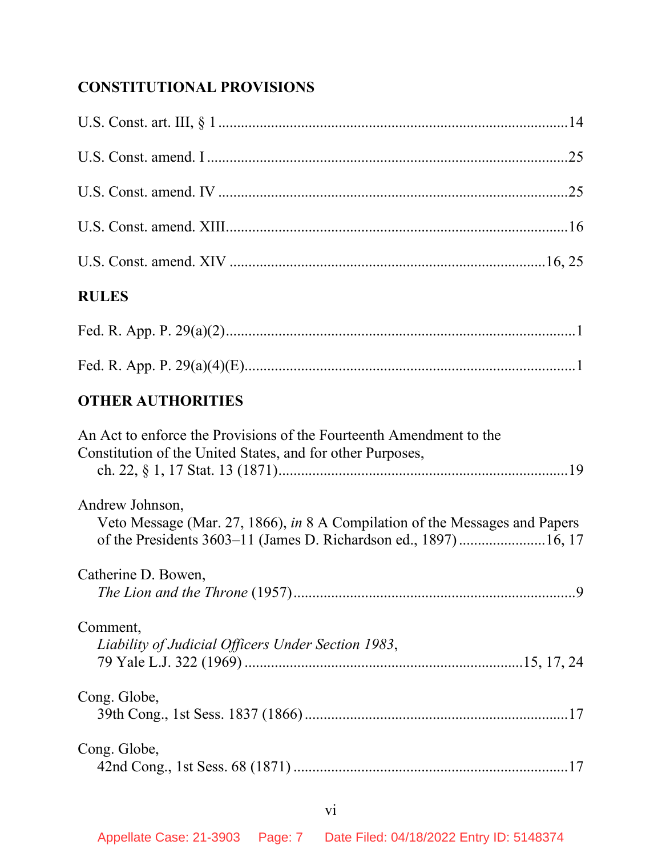# **CONSTITUTIONAL PROVISIONS**

| <b>RULES</b>                                                                                                                                                      |  |
|-------------------------------------------------------------------------------------------------------------------------------------------------------------------|--|
|                                                                                                                                                                   |  |
|                                                                                                                                                                   |  |
| <b>OTHER AUTHORITIES</b>                                                                                                                                          |  |
| An Act to enforce the Provisions of the Fourteenth Amendment to the<br>Constitution of the United States, and for other Purposes,                                 |  |
| Andrew Johnson,<br>Veto Message (Mar. 27, 1866), in 8 A Compilation of the Messages and Papers<br>of the Presidents 3603-11 (James D. Richardson ed., 1897)16, 17 |  |
| Catherine D. Bowen,                                                                                                                                               |  |
| Comment,<br>Liability of Judicial Officers Under Section 1983,                                                                                                    |  |
| Cong. Globe,                                                                                                                                                      |  |
| Cong. Globe,                                                                                                                                                      |  |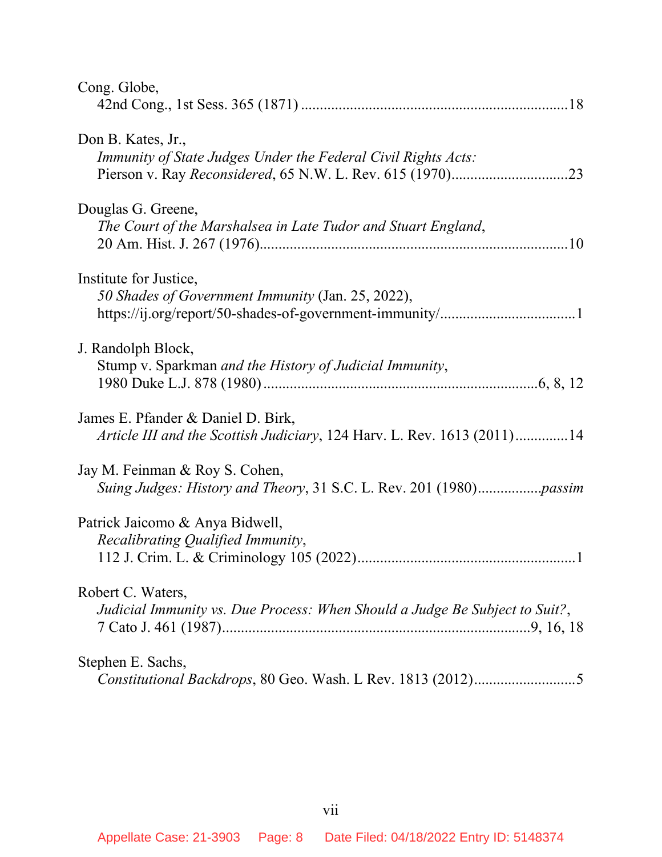| Cong. Globe,                                                                |
|-----------------------------------------------------------------------------|
|                                                                             |
| Don B. Kates, Jr.,                                                          |
| Immunity of State Judges Under the Federal Civil Rights Acts:               |
|                                                                             |
| Douglas G. Greene,                                                          |
| The Court of the Marshalsea in Late Tudor and Stuart England,               |
|                                                                             |
| Institute for Justice,                                                      |
| 50 Shades of Government Immunity (Jan. 25, 2022),                           |
|                                                                             |
| J. Randolph Block,                                                          |
| Stump v. Sparkman and the History of Judicial Immunity,                     |
|                                                                             |
| James E. Pfander & Daniel D. Birk,                                          |
| Article III and the Scottish Judiciary, 124 Harv. L. Rev. 1613 (2011)14     |
| Jay M. Feinman & Roy S. Cohen,                                              |
|                                                                             |
| Patrick Jaicomo & Anya Bidwell,                                             |
| Recalibrating Qualified Immunity,                                           |
|                                                                             |
| Robert C. Waters,                                                           |
| Judicial Immunity vs. Due Process: When Should a Judge Be Subject to Suit?, |
|                                                                             |
| Stephen E. Sachs,                                                           |
|                                                                             |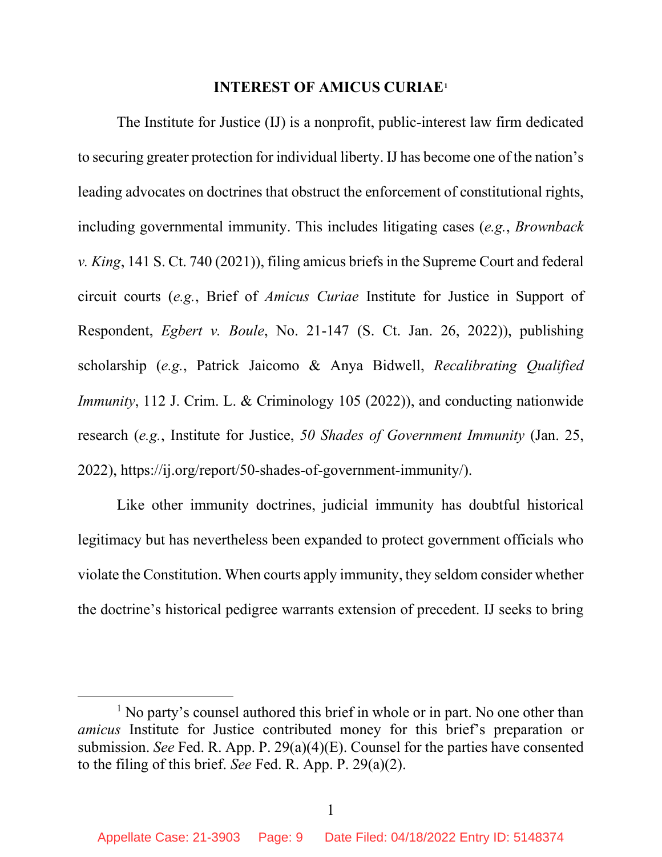#### **INTEREST OF AMICUS CURIAE[1](#page-8-0)**

The Institute for Justice (IJ) is a nonprofit, public-interest law firm dedicated to securing greater protection for individual liberty. IJ has become one of the nation's leading advocates on doctrines that obstruct the enforcement of constitutional rights, including governmental immunity. This includes litigating cases (*e.g.*, *Brownback v. King*, 141 S. Ct. 740 (2021)), filing amicus briefs in the Supreme Court and federal circuit courts (*e.g.*, Brief of *Amicus Curiae* Institute for Justice in Support of Respondent, *Egbert v. Boule*, No. 21-147 (S. Ct. Jan. 26, 2022)), publishing scholarship (*e.g.*, Patrick Jaicomo & Anya Bidwell, *Recalibrating Qualified Immunity*, 112 J. Crim. L. & Criminology 105 (2022)), and conducting nationwide research (*e.g.*, Institute for Justice, *50 Shades of Government Immunity* (Jan. 25, 2022), https://ij.org/report/50-shades-of-government-immunity/).

Like other immunity doctrines, judicial immunity has doubtful historical legitimacy but has nevertheless been expanded to protect government officials who violate the Constitution. When courts apply immunity, they seldom consider whether the doctrine's historical pedigree warrants extension of precedent. IJ seeks to bring

<span id="page-8-0"></span><sup>&</sup>lt;sup>1</sup> No party's counsel authored this brief in whole or in part. No one other than *amicus* Institute for Justice contributed money for this brief's preparation or submission. *See* Fed. R. App. P. 29(a)(4)(E). Counsel for the parties have consented to the filing of this brief. *See* Fed. R. App. P. 29(a)(2).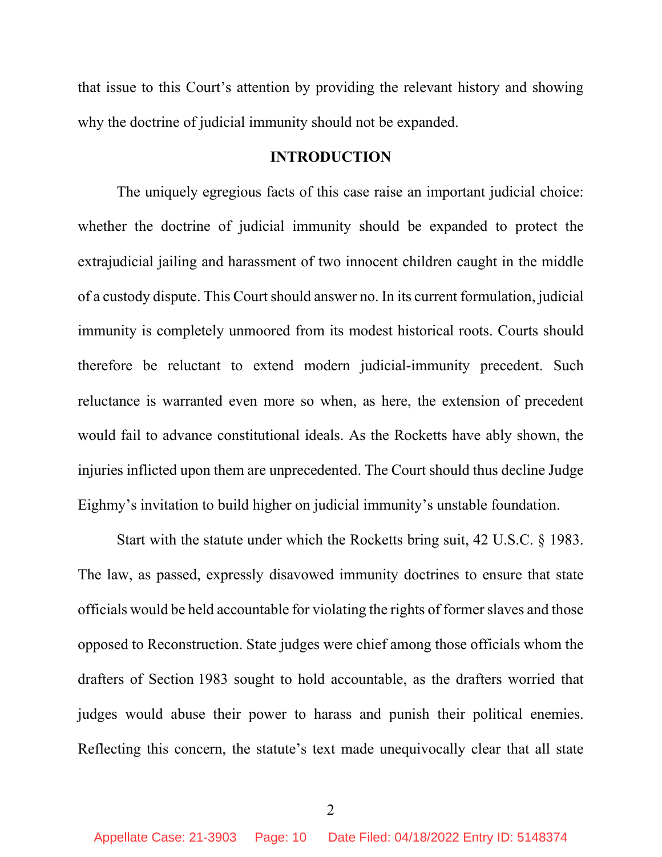that issue to this Court's attention by providing the relevant history and showing why the doctrine of judicial immunity should not be expanded.

#### **INTRODUCTION**

The uniquely egregious facts of this case raise an important judicial choice: whether the doctrine of judicial immunity should be expanded to protect the extrajudicial jailing and harassment of two innocent children caught in the middle of a custody dispute. This Court should answer no. In its current formulation, judicial immunity is completely unmoored from its modest historical roots. Courts should therefore be reluctant to extend modern judicial-immunity precedent. Such reluctance is warranted even more so when, as here, the extension of precedent would fail to advance constitutional ideals. As the Rocketts have ably shown, the injuries inflicted upon them are unprecedented. The Court should thus decline Judge Eighmy's invitation to build higher on judicial immunity's unstable foundation.

Start with the statute under which the Rocketts bring suit, 42 U.S.C. § 1983. The law, as passed, expressly disavowed immunity doctrines to ensure that state officials would be held accountable for violating the rights of former slaves and those opposed to Reconstruction. State judges were chief among those officials whom the drafters of Section 1983 sought to hold accountable, as the drafters worried that judges would abuse their power to harass and punish their political enemies. Reflecting this concern, the statute's text made unequivocally clear that all state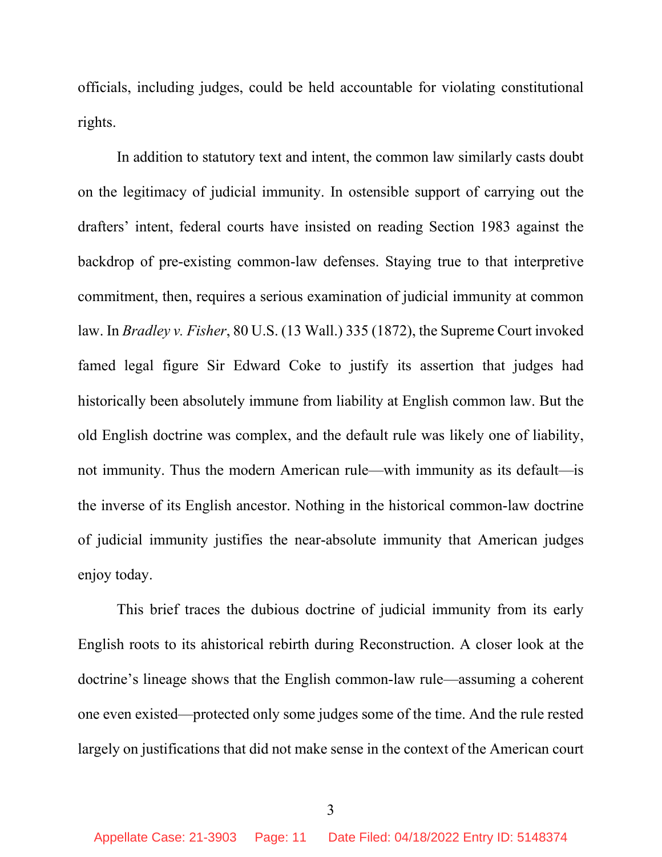officials, including judges, could be held accountable for violating constitutional rights.

In addition to statutory text and intent, the common law similarly casts doubt on the legitimacy of judicial immunity. In ostensible support of carrying out the drafters' intent, federal courts have insisted on reading Section 1983 against the backdrop of pre-existing common-law defenses. Staying true to that interpretive commitment, then, requires a serious examination of judicial immunity at common law. In *Bradley v. Fisher*, 80 U.S. (13 Wall.) 335 (1872), the Supreme Court invoked famed legal figure Sir Edward Coke to justify its assertion that judges had historically been absolutely immune from liability at English common law. But the old English doctrine was complex, and the default rule was likely one of liability, not immunity. Thus the modern American rule—with immunity as its default—is the inverse of its English ancestor. Nothing in the historical common-law doctrine of judicial immunity justifies the near-absolute immunity that American judges enjoy today.

This brief traces the dubious doctrine of judicial immunity from its early English roots to its ahistorical rebirth during Reconstruction. A closer look at the doctrine's lineage shows that the English common-law rule—assuming a coherent one even existed—protected only some judges some of the time. And the rule rested largely on justifications that did not make sense in the context of the American court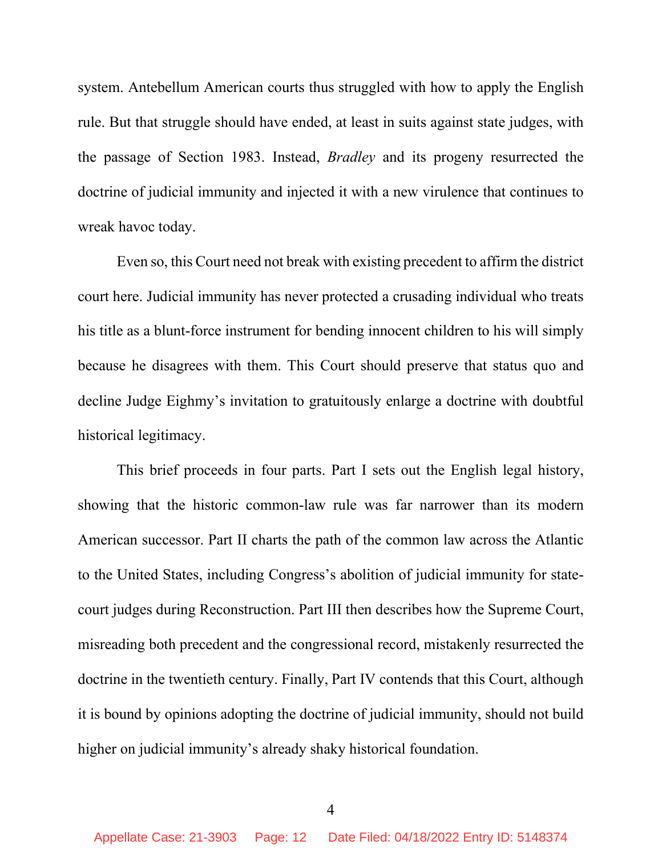system. Antebellum American courts thus struggled with how to apply the English rule. But that struggle should have ended, at least in suits against state judges, with the passage of Section 1983. Instead, *Bradley* and its progeny resurrected the doctrine of judicial immunity and injected it with a new virulence that continues to wreak havoc today.

Even so, this Court need not break with existing precedent to affirm the district court here. Judicial immunity has never protected a crusading individual who treats his title as a blunt-force instrument for bending innocent children to his will simply because he disagrees with them. This Court should preserve that status quo and decline Judge Eighmy's invitation to gratuitously enlarge a doctrine with doubtful historical legitimacy.

This brief proceeds in four parts. Part I sets out the English legal history, showing that the historic common-law rule was far narrower than its modern American successor. Part II charts the path of the common law across the Atlantic to the United States, including Congress's abolition of judicial immunity for statecourt judges during Reconstruction. Part III then describes how the Supreme Court, misreading both precedent and the congressional record, mistakenly resurrected the doctrine in the twentieth century. Finally, Part IV contends that this Court, although it is bound by opinions adopting the doctrine of judicial immunity, should not build higher on judicial immunity's already shaky historical foundation.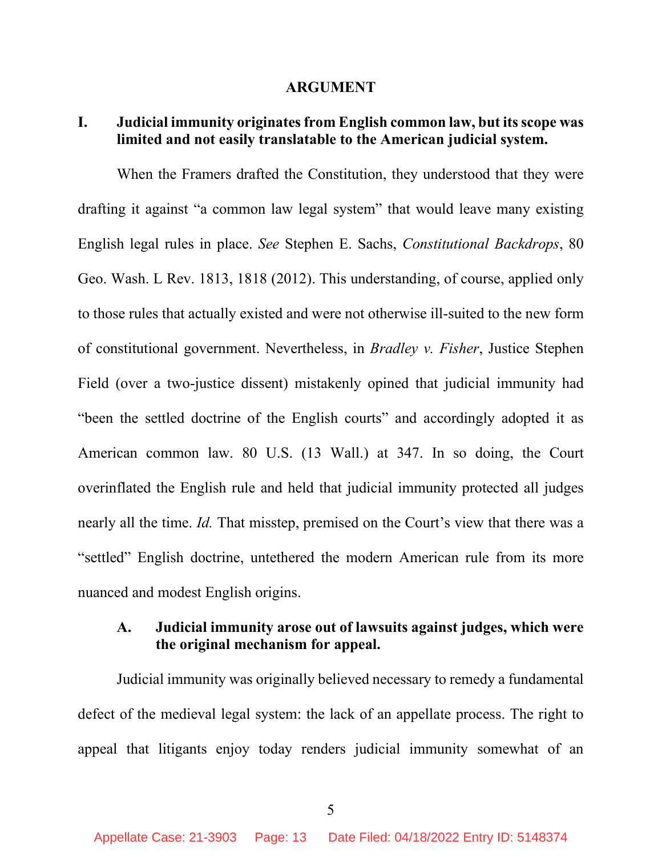#### **ARGUMENT**

#### **I. Judicial immunity originates from English common law, but its scope was limited and not easily translatable to the American judicial system.**

When the Framers drafted the Constitution, they understood that they were drafting it against "a common law legal system" that would leave many existing English legal rules in place. *See* Stephen E. Sachs, *Constitutional Backdrops*, 80 Geo. Wash. L Rev. 1813, 1818 (2012). This understanding, of course, applied only to those rules that actually existed and were not otherwise ill-suited to the new form of constitutional government. Nevertheless, in *Bradley v. Fisher*, Justice Stephen Field (over a two-justice dissent) mistakenly opined that judicial immunity had "been the settled doctrine of the English courts" and accordingly adopted it as American common law. 80 U.S. (13 Wall.) at 347. In so doing, the Court overinflated the English rule and held that judicial immunity protected all judges nearly all the time. *Id.* That misstep, premised on the Court's view that there was a "settled" English doctrine, untethered the modern American rule from its more nuanced and modest English origins.

#### **A. Judicial immunity arose out of lawsuits against judges, which were the original mechanism for appeal.**

Judicial immunity was originally believed necessary to remedy a fundamental defect of the medieval legal system: the lack of an appellate process. The right to appeal that litigants enjoy today renders judicial immunity somewhat of an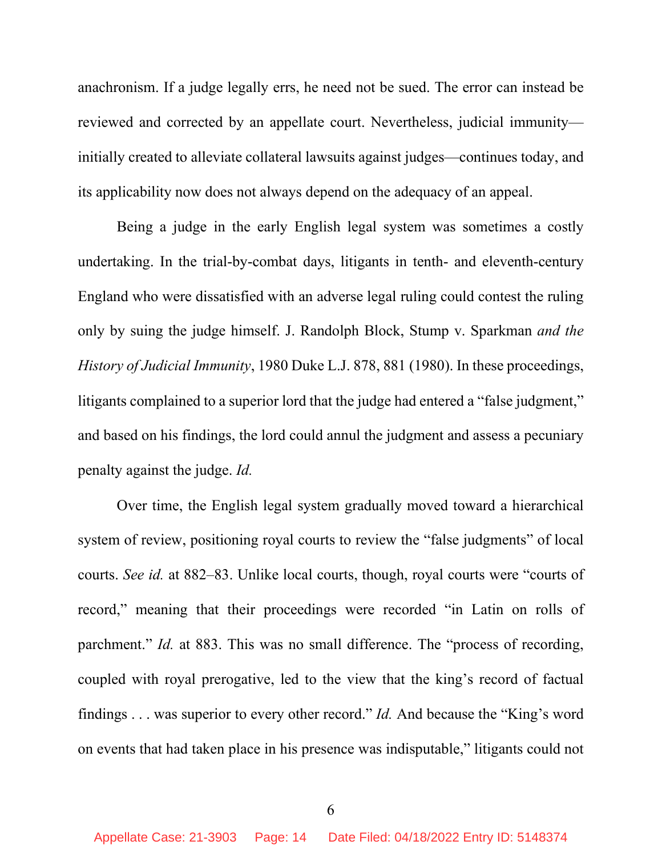anachronism. If a judge legally errs, he need not be sued. The error can instead be reviewed and corrected by an appellate court. Nevertheless, judicial immunity initially created to alleviate collateral lawsuits against judges—continues today, and its applicability now does not always depend on the adequacy of an appeal.

Being a judge in the early English legal system was sometimes a costly undertaking. In the trial-by-combat days, litigants in tenth- and eleventh-century England who were dissatisfied with an adverse legal ruling could contest the ruling only by suing the judge himself. J. Randolph Block, Stump v. Sparkman *and the History of Judicial Immunity*, 1980 Duke L.J. 878, 881 (1980). In these proceedings, litigants complained to a superior lord that the judge had entered a "false judgment," and based on his findings, the lord could annul the judgment and assess a pecuniary penalty against the judge. *Id.*

Over time, the English legal system gradually moved toward a hierarchical system of review, positioning royal courts to review the "false judgments" of local courts. *See id.* at 882–83. Unlike local courts, though, royal courts were "courts of record," meaning that their proceedings were recorded "in Latin on rolls of parchment." *Id.* at 883. This was no small difference. The "process of recording, coupled with royal prerogative, led to the view that the king's record of factual findings . . . was superior to every other record." *Id.* And because the "King's word on events that had taken place in his presence was indisputable," litigants could not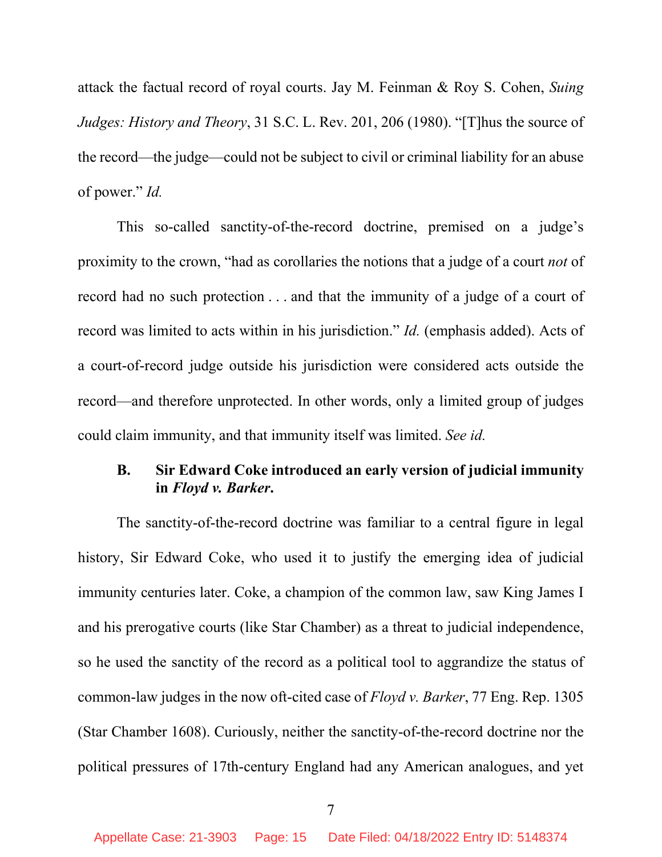attack the factual record of royal courts. Jay M. Feinman & Roy S. Cohen, *Suing Judges: History and Theory*, 31 S.C. L. Rev. 201, 206 (1980). "[T]hus the source of the record—the judge—could not be subject to civil or criminal liability for an abuse of power." *Id.*

This so-called sanctity-of-the-record doctrine, premised on a judge's proximity to the crown, "had as corollaries the notions that a judge of a court *not* of record had no such protection . . . and that the immunity of a judge of a court of record was limited to acts within in his jurisdiction." *Id.* (emphasis added). Acts of a court-of-record judge outside his jurisdiction were considered acts outside the record—and therefore unprotected. In other words, only a limited group of judges could claim immunity, and that immunity itself was limited. *See id.*

#### **B. Sir Edward Coke introduced an early version of judicial immunity in** *Floyd v. Barker***.**

The sanctity-of-the-record doctrine was familiar to a central figure in legal history, Sir Edward Coke, who used it to justify the emerging idea of judicial immunity centuries later. Coke, a champion of the common law, saw King James I and his prerogative courts (like Star Chamber) as a threat to judicial independence, so he used the sanctity of the record as a political tool to aggrandize the status of common-law judges in the now oft-cited case of *Floyd v. Barker*, 77 Eng. Rep. 1305 (Star Chamber 1608). Curiously, neither the sanctity-of-the-record doctrine nor the political pressures of 17th-century England had any American analogues, and yet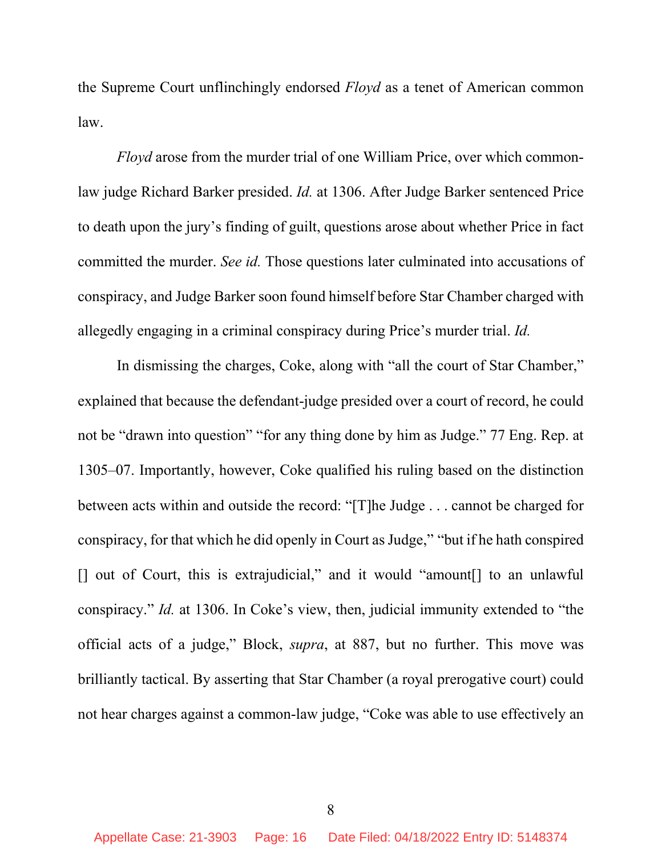the Supreme Court unflinchingly endorsed *Floyd* as a tenet of American common law.

*Floyd* arose from the murder trial of one William Price, over which commonlaw judge Richard Barker presided. *Id.* at 1306. After Judge Barker sentenced Price to death upon the jury's finding of guilt, questions arose about whether Price in fact committed the murder. *See id.* Those questions later culminated into accusations of conspiracy, and Judge Barker soon found himself before Star Chamber charged with allegedly engaging in a criminal conspiracy during Price's murder trial. *Id.*

In dismissing the charges, Coke, along with "all the court of Star Chamber," explained that because the defendant-judge presided over a court of record, he could not be "drawn into question" "for any thing done by him as Judge." 77 Eng. Rep. at 1305–07. Importantly, however, Coke qualified his ruling based on the distinction between acts within and outside the record: "[T]he Judge . . . cannot be charged for conspiracy, for that which he did openly in Court as Judge," "but if he hath conspired [] out of Court, this is extrajudicial," and it would "amount[] to an unlawful conspiracy." *Id.* at 1306. In Coke's view, then, judicial immunity extended to "the official acts of a judge," Block, *supra*, at 887, but no further. This move was brilliantly tactical. By asserting that Star Chamber (a royal prerogative court) could not hear charges against a common-law judge, "Coke was able to use effectively an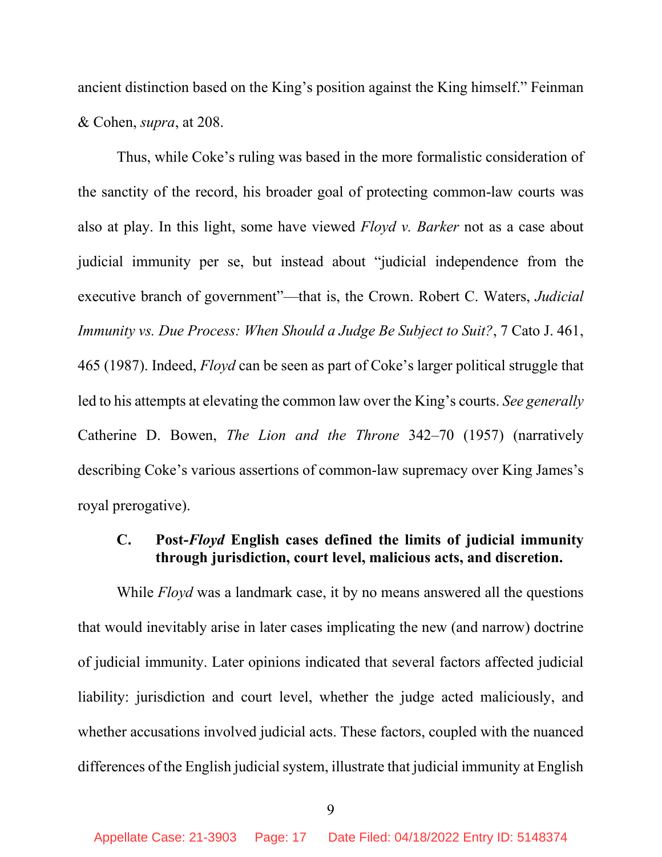ancient distinction based on the King's position against the King himself." Feinman & Cohen, *supra*, at 208.

Thus, while Coke's ruling was based in the more formalistic consideration of the sanctity of the record, his broader goal of protecting common-law courts was also at play. In this light, some have viewed *Floyd v. Barker* not as a case about judicial immunity per se, but instead about "judicial independence from the executive branch of government"—that is, the Crown. Robert C. Waters, *Judicial Immunity vs. Due Process: When Should a Judge Be Subject to Suit?*, 7 Cato J. 461, 465 (1987). Indeed, *Floyd* can be seen as part of Coke's larger political struggle that led to his attempts at elevating the common law over the King's courts. *See generally* Catherine D. Bowen, *The Lion and the Throne* 342–70 (1957) (narratively describing Coke's various assertions of common-law supremacy over King James's royal prerogative).

#### **C. Post-***Floyd* **English cases defined the limits of judicial immunity through jurisdiction, court level, malicious acts, and discretion.**

While *Floyd* was a landmark case, it by no means answered all the questions that would inevitably arise in later cases implicating the new (and narrow) doctrine of judicial immunity. Later opinions indicated that several factors affected judicial liability: jurisdiction and court level, whether the judge acted maliciously, and whether accusations involved judicial acts. These factors, coupled with the nuanced differences of the English judicial system, illustrate that judicial immunity at English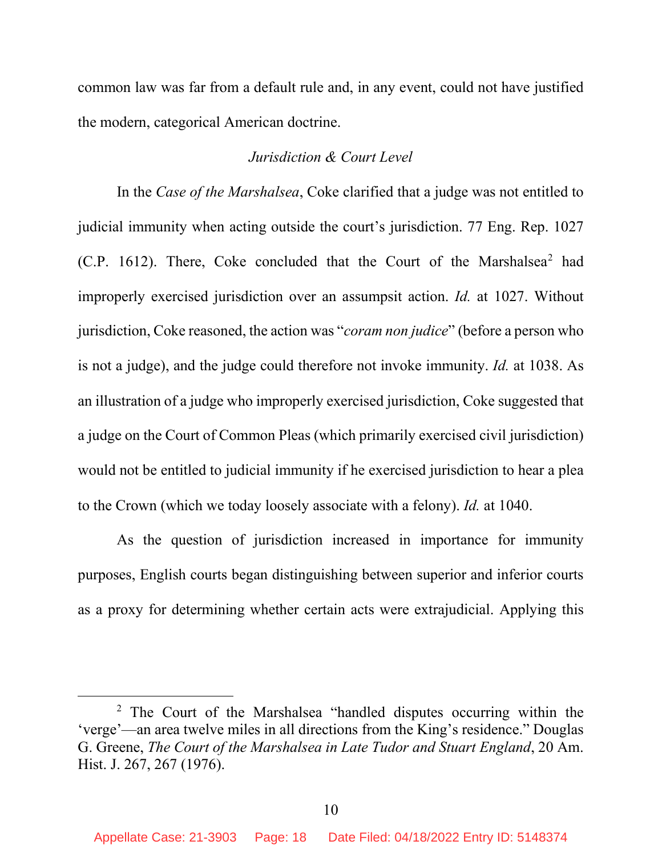common law was far from a default rule and, in any event, could not have justified the modern, categorical American doctrine.

#### *Jurisdiction & Court Level*

In the *Case of the Marshalsea*, Coke clarified that a judge was not entitled to judicial immunity when acting outside the court's jurisdiction. 77 Eng. Rep. 1027 (C.P. 161[2](#page-17-0)). There, Coke concluded that the Court of the Marshalsea<sup>2</sup> had improperly exercised jurisdiction over an assumpsit action. *Id.* at 1027. Without jurisdiction, Coke reasoned, the action was "*coram non judice*" (before a person who is not a judge), and the judge could therefore not invoke immunity. *Id.* at 1038. As an illustration of a judge who improperly exercised jurisdiction, Coke suggested that a judge on the Court of Common Pleas (which primarily exercised civil jurisdiction) would not be entitled to judicial immunity if he exercised jurisdiction to hear a plea to the Crown (which we today loosely associate with a felony). *Id.* at 1040.

As the question of jurisdiction increased in importance for immunity purposes, English courts began distinguishing between superior and inferior courts as a proxy for determining whether certain acts were extrajudicial. Applying this

<span id="page-17-0"></span><sup>2</sup> The Court of the Marshalsea "handled disputes occurring within the 'verge'—an area twelve miles in all directions from the King's residence." Douglas G. Greene, *The Court of the Marshalsea in Late Tudor and Stuart England*, 20 Am. Hist. J. 267, 267 (1976).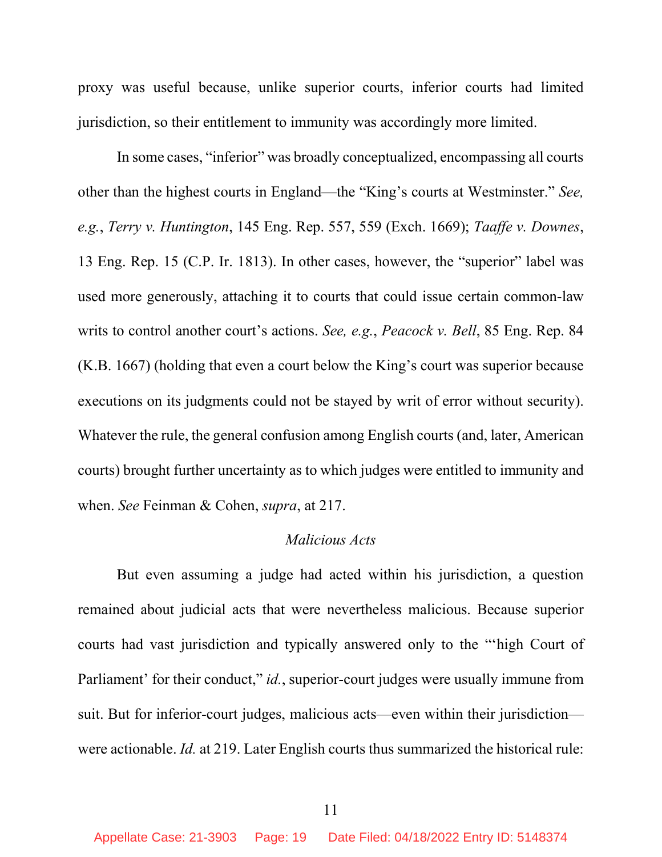proxy was useful because, unlike superior courts, inferior courts had limited jurisdiction, so their entitlement to immunity was accordingly more limited.

In some cases, "inferior" was broadly conceptualized, encompassing all courts other than the highest courts in England—the "King's courts at Westminster." *See, e.g.*, *Terry v. Huntington*, 145 Eng. Rep. 557, 559 (Exch. 1669); *Taaffe v. Downes*, 13 Eng. Rep. 15 (C.P. Ir. 1813). In other cases, however, the "superior" label was used more generously, attaching it to courts that could issue certain common-law writs to control another court's actions. *See, e.g.*, *Peacock v. Bell*, 85 Eng. Rep. 84 (K.B. 1667) (holding that even a court below the King's court was superior because executions on its judgments could not be stayed by writ of error without security). Whatever the rule, the general confusion among English courts (and, later, American courts) brought further uncertainty as to which judges were entitled to immunity and when. *See* Feinman & Cohen, *supra*, at 217.

#### *Malicious Acts*

But even assuming a judge had acted within his jurisdiction, a question remained about judicial acts that were nevertheless malicious. Because superior courts had vast jurisdiction and typically answered only to the "'high Court of Parliament' for their conduct," *id.*, superior-court judges were usually immune from suit. But for inferior-court judges, malicious acts—even within their jurisdiction were actionable. *Id.* at 219. Later English courts thus summarized the historical rule: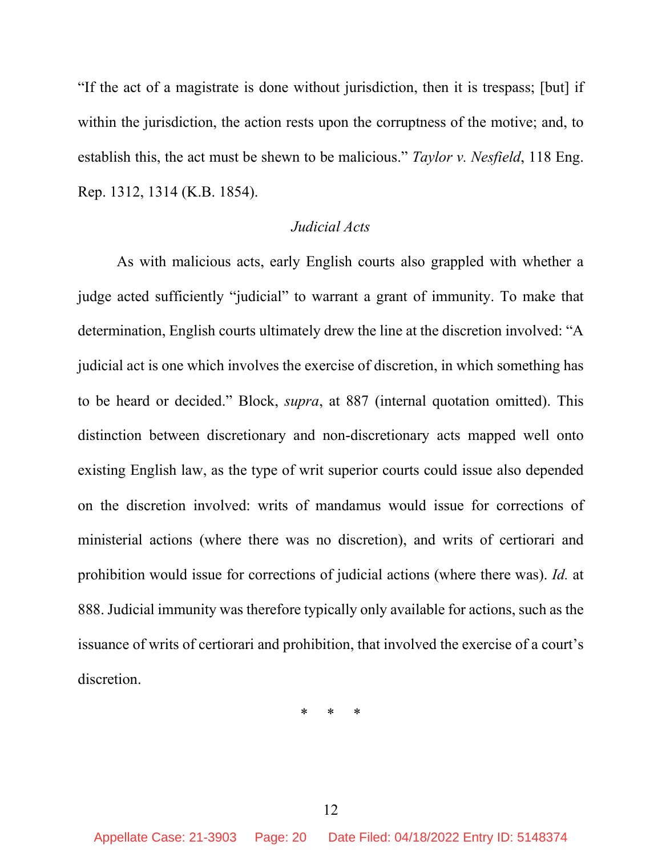"If the act of a magistrate is done without jurisdiction, then it is trespass; [but] if within the jurisdiction, the action rests upon the corruptness of the motive; and, to establish this, the act must be shewn to be malicious." *Taylor v. Nesfield*, 118 Eng. Rep. 1312, 1314 (K.B. 1854).

#### *Judicial Acts*

As with malicious acts, early English courts also grappled with whether a judge acted sufficiently "judicial" to warrant a grant of immunity. To make that determination, English courts ultimately drew the line at the discretion involved: "A judicial act is one which involves the exercise of discretion, in which something has to be heard or decided." Block, *supra*, at 887 (internal quotation omitted). This distinction between discretionary and non-discretionary acts mapped well onto existing English law, as the type of writ superior courts could issue also depended on the discretion involved: writs of mandamus would issue for corrections of ministerial actions (where there was no discretion), and writs of certiorari and prohibition would issue for corrections of judicial actions (where there was). *Id.* at 888. Judicial immunity was therefore typically only available for actions, such as the issuance of writs of certiorari and prohibition, that involved the exercise of a court's discretion.

\* \* \*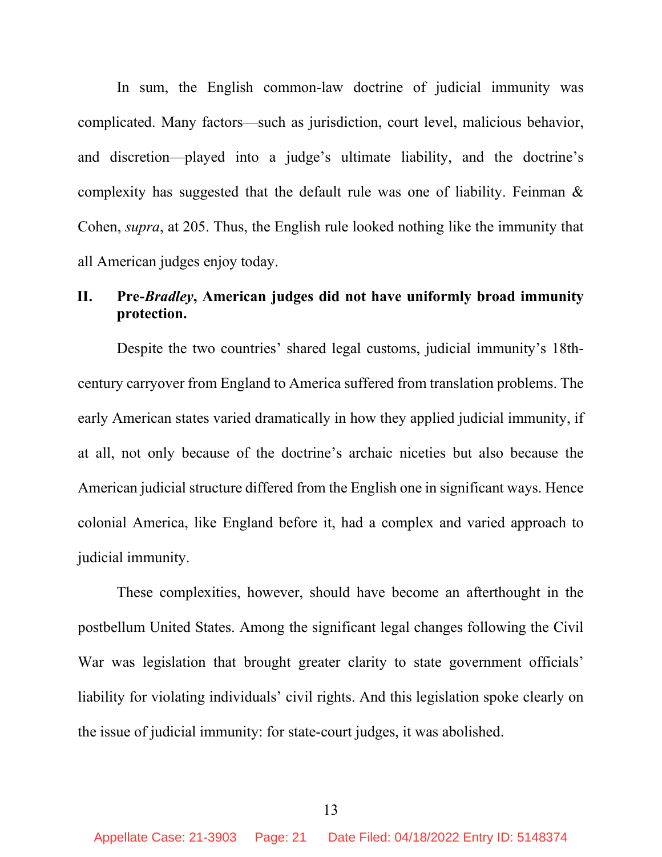In sum, the English common-law doctrine of judicial immunity was complicated. Many factors—such as jurisdiction, court level, malicious behavior, and discretion—played into a judge's ultimate liability, and the doctrine's complexity has suggested that the default rule was one of liability. Feinman & Cohen, *supra*, at 205. Thus, the English rule looked nothing like the immunity that all American judges enjoy today.

#### **II. Pre-***Bradley***, American judges did not have uniformly broad immunity protection.**

Despite the two countries' shared legal customs, judicial immunity's 18thcentury carryover from England to America suffered from translation problems. The early American states varied dramatically in how they applied judicial immunity, if at all, not only because of the doctrine's archaic niceties but also because the American judicial structure differed from the English one in significant ways. Hence colonial America, like England before it, had a complex and varied approach to judicial immunity.

These complexities, however, should have become an afterthought in the postbellum United States. Among the significant legal changes following the Civil War was legislation that brought greater clarity to state government officials' liability for violating individuals' civil rights. And this legislation spoke clearly on the issue of judicial immunity: for state-court judges, it was abolished.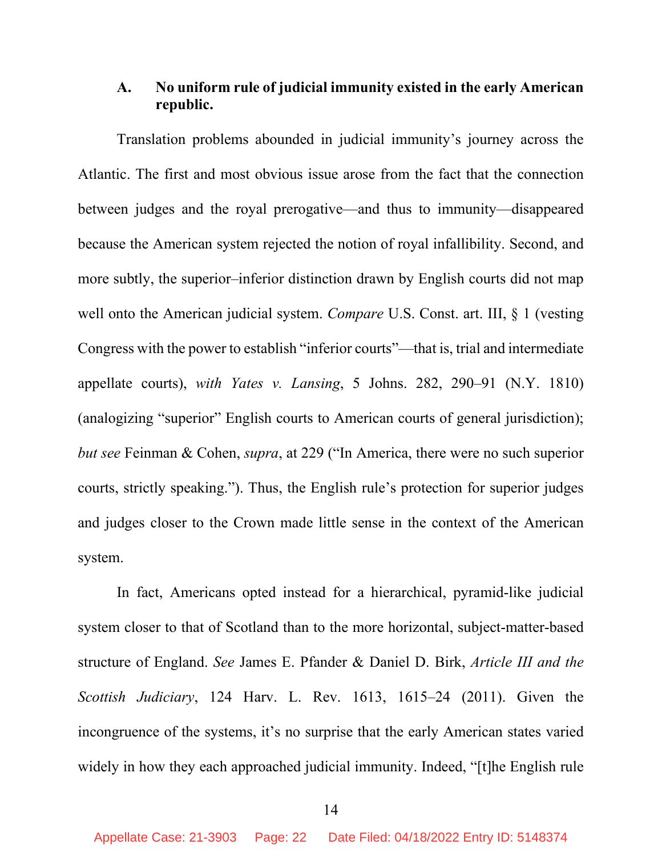#### **A. No uniform rule of judicial immunity existed in the early American republic.**

Translation problems abounded in judicial immunity's journey across the Atlantic. The first and most obvious issue arose from the fact that the connection between judges and the royal prerogative—and thus to immunity—disappeared because the American system rejected the notion of royal infallibility. Second, and more subtly, the superior–inferior distinction drawn by English courts did not map well onto the American judicial system. *Compare* U.S. Const. art. III, § 1 (vesting Congress with the power to establish "inferior courts"—that is, trial and intermediate appellate courts), *with Yates v. Lansing*, 5 Johns. 282, 290–91 (N.Y. 1810) (analogizing "superior" English courts to American courts of general jurisdiction); *but see* Feinman & Cohen, *supra*, at 229 ("In America, there were no such superior courts, strictly speaking."). Thus, the English rule's protection for superior judges and judges closer to the Crown made little sense in the context of the American system.

In fact, Americans opted instead for a hierarchical, pyramid-like judicial system closer to that of Scotland than to the more horizontal, subject-matter-based structure of England. *See* James E. Pfander & Daniel D. Birk, *Article III and the Scottish Judiciary*, 124 Harv. L. Rev. 1613, 1615–24 (2011). Given the incongruence of the systems, it's no surprise that the early American states varied widely in how they each approached judicial immunity. Indeed, "[t]he English rule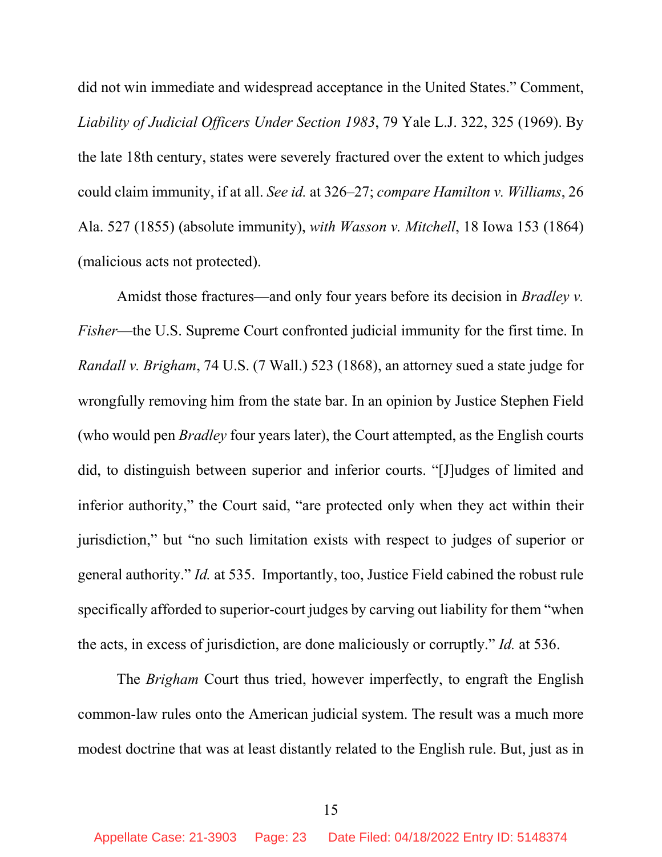did not win immediate and widespread acceptance in the United States." Comment, *Liability of Judicial Officers Under Section 1983*, 79 Yale L.J. 322, 325 (1969). By the late 18th century, states were severely fractured over the extent to which judges could claim immunity, if at all. *See id.* at 326–27; *compare Hamilton v. Williams*, 26 Ala. 527 (1855) (absolute immunity), *with Wasson v. Mitchell*, 18 Iowa 153 (1864) (malicious acts not protected).

Amidst those fractures—and only four years before its decision in *Bradley v. Fisher*—the U.S. Supreme Court confronted judicial immunity for the first time. In *Randall v. Brigham*, 74 U.S. (7 Wall.) 523 (1868), an attorney sued a state judge for wrongfully removing him from the state bar. In an opinion by Justice Stephen Field (who would pen *Bradley* four years later), the Court attempted, as the English courts did, to distinguish between superior and inferior courts. "[J]udges of limited and inferior authority," the Court said, "are protected only when they act within their jurisdiction," but "no such limitation exists with respect to judges of superior or general authority." *Id.* at 535. Importantly, too, Justice Field cabined the robust rule specifically afforded to superior-court judges by carving out liability for them "when the acts, in excess of jurisdiction, are done maliciously or corruptly." *Id.* at 536.

The *Brigham* Court thus tried, however imperfectly, to engraft the English common-law rules onto the American judicial system. The result was a much more modest doctrine that was at least distantly related to the English rule. But, just as in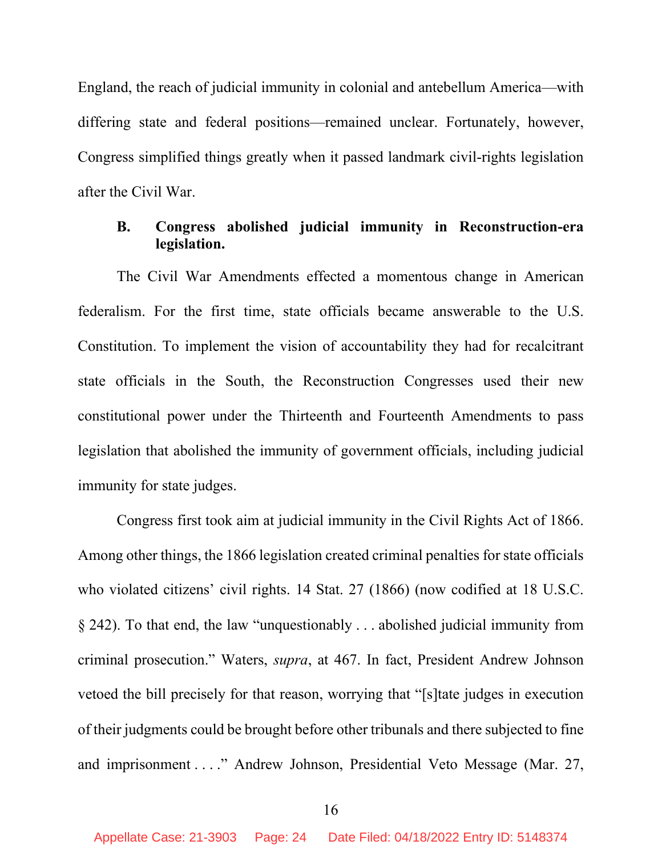England, the reach of judicial immunity in colonial and antebellum America—with differing state and federal positions—remained unclear. Fortunately, however, Congress simplified things greatly when it passed landmark civil-rights legislation after the Civil War.

#### **B. Congress abolished judicial immunity in Reconstruction-era legislation.**

The Civil War Amendments effected a momentous change in American federalism. For the first time, state officials became answerable to the U.S. Constitution. To implement the vision of accountability they had for recalcitrant state officials in the South, the Reconstruction Congresses used their new constitutional power under the Thirteenth and Fourteenth Amendments to pass legislation that abolished the immunity of government officials, including judicial immunity for state judges.

Congress first took aim at judicial immunity in the Civil Rights Act of 1866. Among other things, the 1866 legislation created criminal penalties for state officials who violated citizens' civil rights. 14 Stat. 27 (1866) (now codified at 18 U.S.C. § 242). To that end, the law "unquestionably . . . abolished judicial immunity from criminal prosecution." Waters, *supra*, at 467. In fact, President Andrew Johnson vetoed the bill precisely for that reason, worrying that "[s]tate judges in execution of their judgments could be brought before other tribunals and there subjected to fine and imprisonment . . . ." Andrew Johnson, Presidential Veto Message (Mar. 27,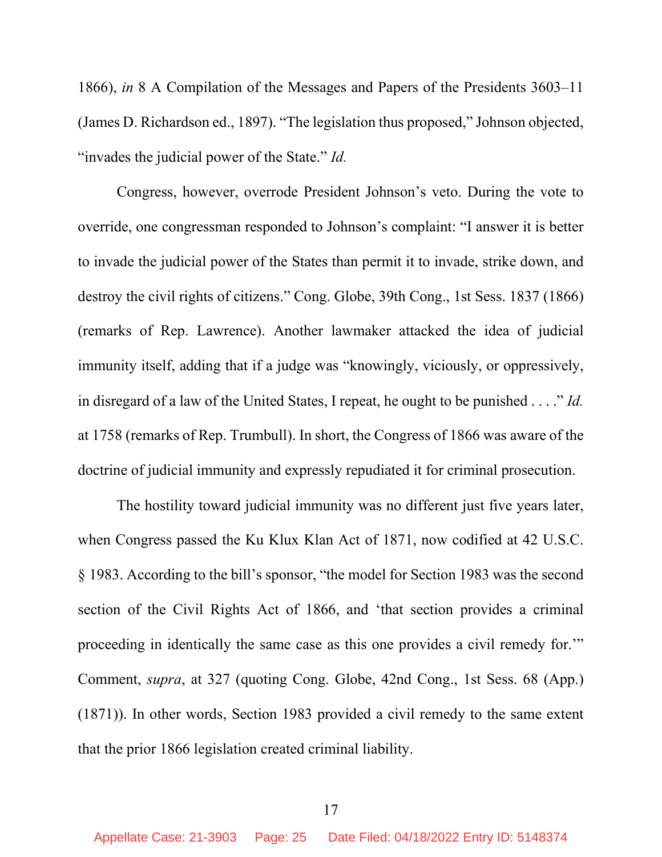1866), *in* 8 A Compilation of the Messages and Papers of the Presidents 3603–11 (James D. Richardson ed., 1897). "The legislation thus proposed," Johnson objected, "invades the judicial power of the State." *Id.* 

Congress, however, overrode President Johnson's veto. During the vote to override, one congressman responded to Johnson's complaint: "I answer it is better to invade the judicial power of the States than permit it to invade, strike down, and destroy the civil rights of citizens." Cong. Globe, 39th Cong., 1st Sess. 1837 (1866) (remarks of Rep. Lawrence). Another lawmaker attacked the idea of judicial immunity itself, adding that if a judge was "knowingly, viciously, or oppressively, in disregard of a law of the United States, I repeat, he ought to be punished . . . ." *Id.*  at 1758 (remarks of Rep. Trumbull). In short, the Congress of 1866 was aware of the doctrine of judicial immunity and expressly repudiated it for criminal prosecution.

The hostility toward judicial immunity was no different just five years later, when Congress passed the Ku Klux Klan Act of 1871, now codified at 42 U.S.C. § 1983. According to the bill's sponsor, "the model for Section 1983 was the second section of the Civil Rights Act of 1866, and 'that section provides a criminal proceeding in identically the same case as this one provides a civil remedy for.'" Comment, *supra*, at 327 (quoting Cong. Globe, 42nd Cong., 1st Sess. 68 (App.) (1871)). In other words, Section 1983 provided a civil remedy to the same extent that the prior 1866 legislation created criminal liability.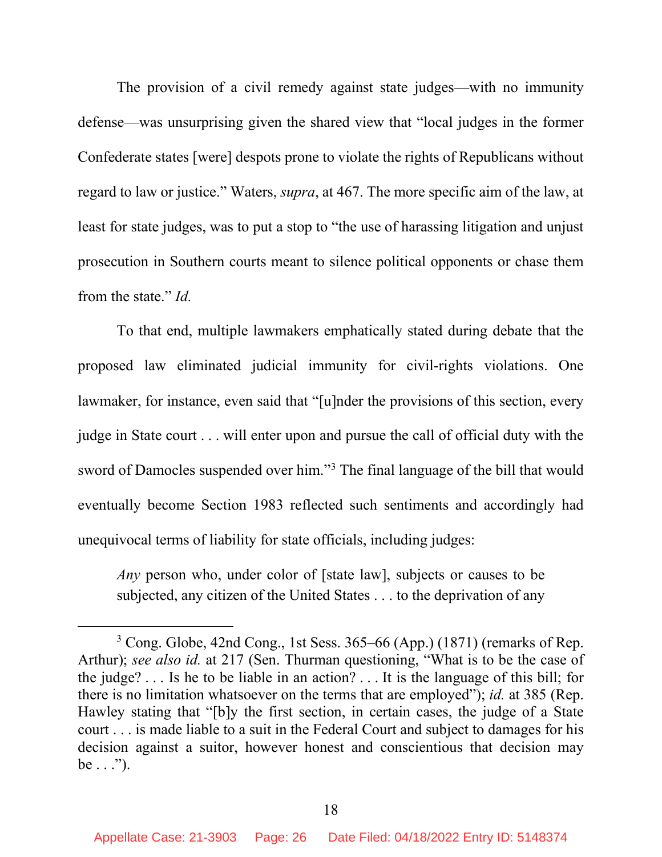The provision of a civil remedy against state judges—with no immunity defense—was unsurprising given the shared view that "local judges in the former Confederate states [were] despots prone to violate the rights of Republicans without regard to law or justice." Waters, *supra*, at 467. The more specific aim of the law, at least for state judges, was to put a stop to "the use of harassing litigation and unjust prosecution in Southern courts meant to silence political opponents or chase them from the state." *Id.* 

To that end, multiple lawmakers emphatically stated during debate that the proposed law eliminated judicial immunity for civil-rights violations. One lawmaker, for instance, even said that "[u]nder the provisions of this section, every judge in State court . . . will enter upon and pursue the call of official duty with the sword of Damocles suspended over him."[3](#page-25-0) The final language of the bill that would eventually become Section 1983 reflected such sentiments and accordingly had unequivocal terms of liability for state officials, including judges:

*Any* person who, under color of [state law], subjects or causes to be subjected, any citizen of the United States . . . to the deprivation of any

<span id="page-25-0"></span> $3$  Cong. Globe, 42nd Cong., 1st Sess. 365–66 (App.) (1871) (remarks of Rep. Arthur); *see also id.* at 217 (Sen. Thurman questioning, "What is to be the case of the judge? . . . Is he to be liable in an action? . . . It is the language of this bill; for there is no limitation whatsoever on the terms that are employed"); *id.* at 385 (Rep. Hawley stating that "[b]y the first section, in certain cases, the judge of a State court . . . is made liable to a suit in the Federal Court and subject to damages for his decision against a suitor, however honest and conscientious that decision may be  $\ldots$ ").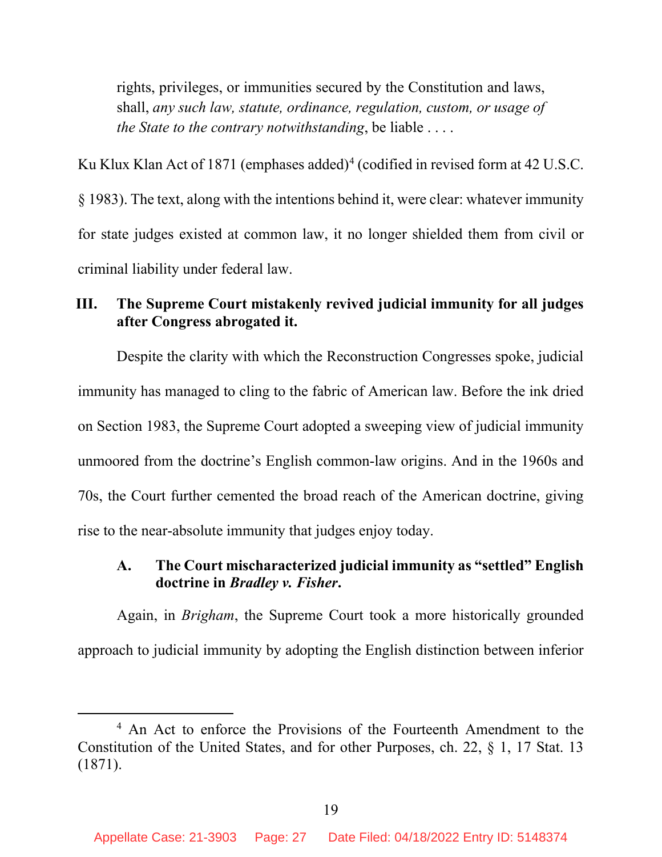rights, privileges, or immunities secured by the Constitution and laws, shall, *any such law, statute, ordinance, regulation, custom, or usage of the State to the contrary notwithstanding*, be liable . . . .

Ku Klux Klan Act of 1871 (emphases added)<sup>[4](#page-26-0)</sup> (codified in revised form at 42 U.S.C. § 1983). The text, along with the intentions behind it, were clear: whatever immunity for state judges existed at common law, it no longer shielded them from civil or criminal liability under federal law.

#### **III. The Supreme Court mistakenly revived judicial immunity for all judges after Congress abrogated it.**

Despite the clarity with which the Reconstruction Congresses spoke, judicial immunity has managed to cling to the fabric of American law. Before the ink dried on Section 1983, the Supreme Court adopted a sweeping view of judicial immunity unmoored from the doctrine's English common-law origins. And in the 1960s and 70s, the Court further cemented the broad reach of the American doctrine, giving rise to the near-absolute immunity that judges enjoy today.

#### **A. The Court mischaracterized judicial immunity as "settled" English doctrine in** *Bradley v. Fisher***.**

Again, in *Brigham*, the Supreme Court took a more historically grounded approach to judicial immunity by adopting the English distinction between inferior

<span id="page-26-0"></span><sup>&</sup>lt;sup>4</sup> An Act to enforce the Provisions of the Fourteenth Amendment to the Constitution of the United States, and for other Purposes, ch. 22, § 1, 17 Stat. 13 (1871).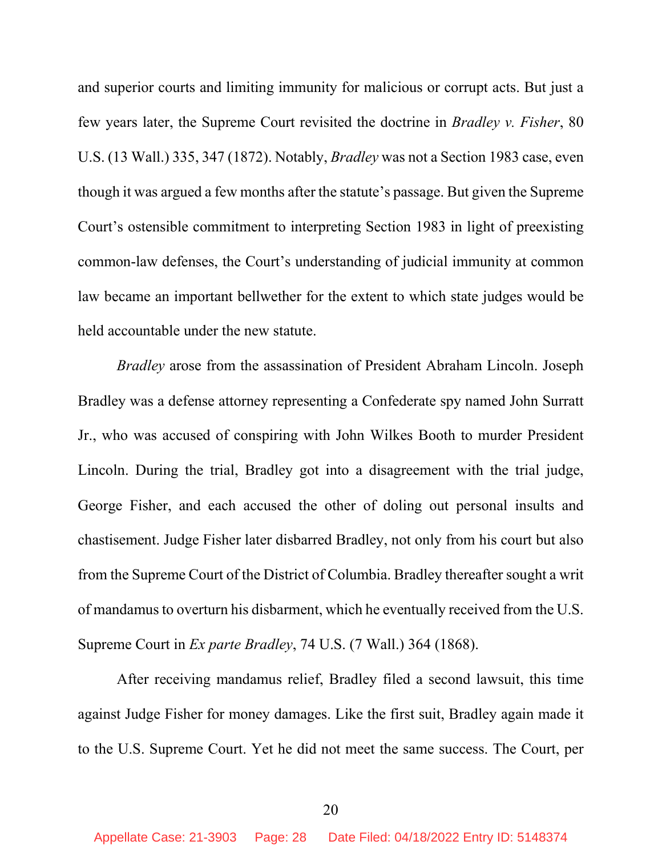and superior courts and limiting immunity for malicious or corrupt acts. But just a few years later, the Supreme Court revisited the doctrine in *Bradley v. Fisher*, 80 U.S. (13 Wall.) 335, 347 (1872). Notably, *Bradley* was not a Section 1983 case, even though it was argued a few months after the statute's passage. But given the Supreme Court's ostensible commitment to interpreting Section 1983 in light of preexisting common-law defenses, the Court's understanding of judicial immunity at common law became an important bellwether for the extent to which state judges would be held accountable under the new statute.

*Bradley* arose from the assassination of President Abraham Lincoln. Joseph Bradley was a defense attorney representing a Confederate spy named John Surratt Jr., who was accused of conspiring with John Wilkes Booth to murder President Lincoln. During the trial, Bradley got into a disagreement with the trial judge, George Fisher, and each accused the other of doling out personal insults and chastisement. Judge Fisher later disbarred Bradley, not only from his court but also from the Supreme Court of the District of Columbia. Bradley thereafter sought a writ of mandamus to overturn his disbarment, which he eventually received from the U.S. Supreme Court in *Ex parte Bradley*, 74 U.S. (7 Wall.) 364 (1868).

After receiving mandamus relief, Bradley filed a second lawsuit, this time against Judge Fisher for money damages. Like the first suit, Bradley again made it to the U.S. Supreme Court. Yet he did not meet the same success. The Court, per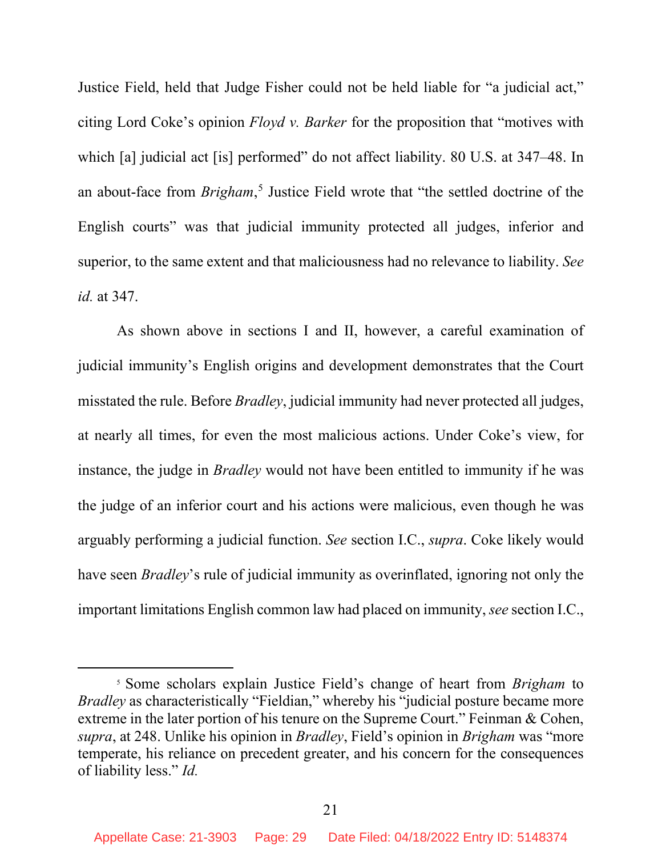Justice Field, held that Judge Fisher could not be held liable for "a judicial act," citing Lord Coke's opinion *Floyd v. Barker* for the proposition that "motives with which [a] judicial act [is] performed" do not affect liability. 80 U.S. at 347–48. In an about-face from *Brigham*, [5](#page-28-0) Justice Field wrote that "the settled doctrine of the English courts" was that judicial immunity protected all judges, inferior and superior, to the same extent and that maliciousness had no relevance to liability. *See id.* at 347.

As shown above in sections I and II, however, a careful examination of judicial immunity's English origins and development demonstrates that the Court misstated the rule. Before *Bradley*, judicial immunity had never protected all judges, at nearly all times, for even the most malicious actions. Under Coke's view, for instance, the judge in *Bradley* would not have been entitled to immunity if he was the judge of an inferior court and his actions were malicious, even though he was arguably performing a judicial function. *See* section I.C., *supra*. Coke likely would have seen *Bradley*'s rule of judicial immunity as overinflated, ignoring not only the important limitations English common law had placed on immunity, *see* section I.C.,

<span id="page-28-0"></span><sup>5</sup> Some scholars explain Justice Field's change of heart from *Brigham* to *Bradley* as characteristically "Fieldian," whereby his "judicial posture became more extreme in the later portion of his tenure on the Supreme Court." Feinman & Cohen, *supra*, at 248. Unlike his opinion in *Bradley*, Field's opinion in *Brigham* was "more temperate, his reliance on precedent greater, and his concern for the consequences of liability less." *Id.*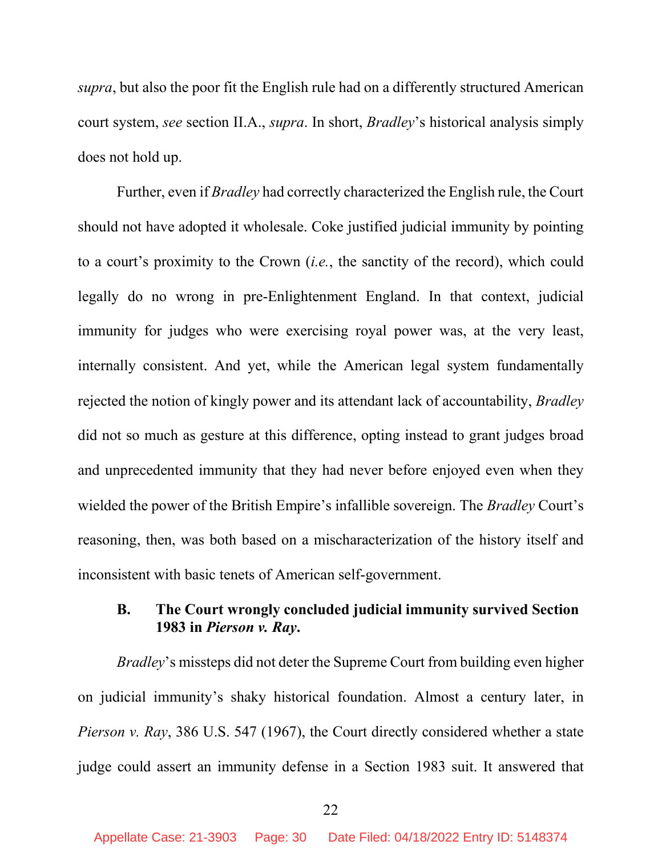*supra*, but also the poor fit the English rule had on a differently structured American court system, *see* section II.A., *supra*. In short, *Bradley*'s historical analysis simply does not hold up.

Further, even if *Bradley* had correctly characterized the English rule, the Court should not have adopted it wholesale. Coke justified judicial immunity by pointing to a court's proximity to the Crown (*i.e.*, the sanctity of the record), which could legally do no wrong in pre-Enlightenment England. In that context, judicial immunity for judges who were exercising royal power was, at the very least, internally consistent. And yet, while the American legal system fundamentally rejected the notion of kingly power and its attendant lack of accountability, *Bradley* did not so much as gesture at this difference, opting instead to grant judges broad and unprecedented immunity that they had never before enjoyed even when they wielded the power of the British Empire's infallible sovereign. The *Bradley* Court's reasoning, then, was both based on a mischaracterization of the history itself and inconsistent with basic tenets of American self-government.

#### **B. The Court wrongly concluded judicial immunity survived Section 1983 in** *Pierson v. Ray***.**

*Bradley*'s missteps did not deter the Supreme Court from building even higher on judicial immunity's shaky historical foundation. Almost a century later, in *Pierson v. Ray*, 386 U.S. 547 (1967), the Court directly considered whether a state judge could assert an immunity defense in a Section 1983 suit. It answered that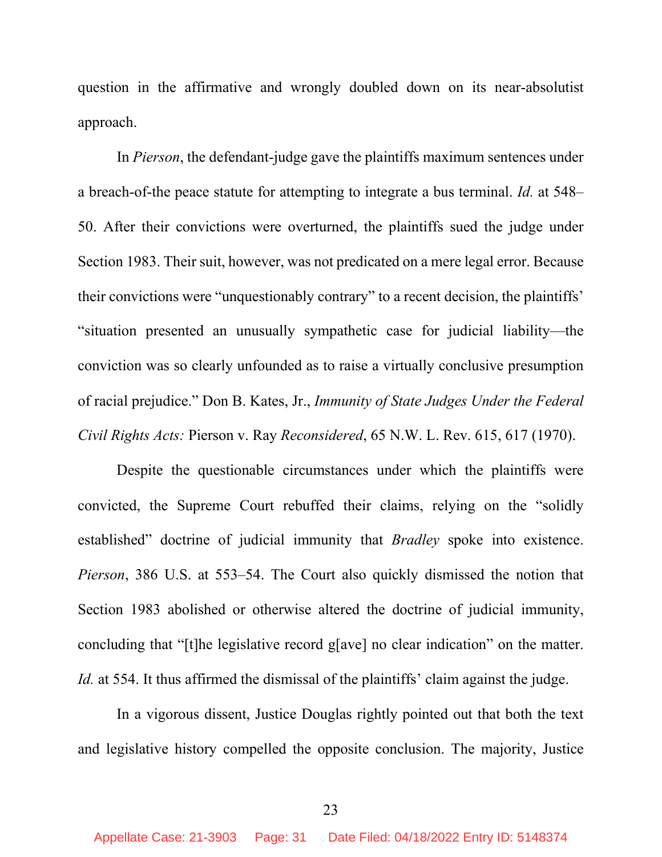question in the affirmative and wrongly doubled down on its near-absolutist approach.

In *Pierson*, the defendant-judge gave the plaintiffs maximum sentences under a breach-of-the peace statute for attempting to integrate a bus terminal. *Id.* at 548– 50. After their convictions were overturned, the plaintiffs sued the judge under Section 1983. Their suit, however, was not predicated on a mere legal error. Because their convictions were "unquestionably contrary" to a recent decision, the plaintiffs' "situation presented an unusually sympathetic case for judicial liability—the conviction was so clearly unfounded as to raise a virtually conclusive presumption of racial prejudice." Don B. Kates, Jr., *Immunity of State Judges Under the Federal Civil Rights Acts:* Pierson v. Ray *Reconsidered*, 65 N.W. L. Rev. 615, 617 (1970).

Despite the questionable circumstances under which the plaintiffs were convicted, the Supreme Court rebuffed their claims, relying on the "solidly established" doctrine of judicial immunity that *Bradley* spoke into existence. *Pierson*, 386 U.S. at 553–54. The Court also quickly dismissed the notion that Section 1983 abolished or otherwise altered the doctrine of judicial immunity, concluding that "[t]he legislative record g[ave] no clear indication" on the matter. *Id.* at 554. It thus affirmed the dismissal of the plaintiffs' claim against the judge.

In a vigorous dissent, Justice Douglas rightly pointed out that both the text and legislative history compelled the opposite conclusion. The majority, Justice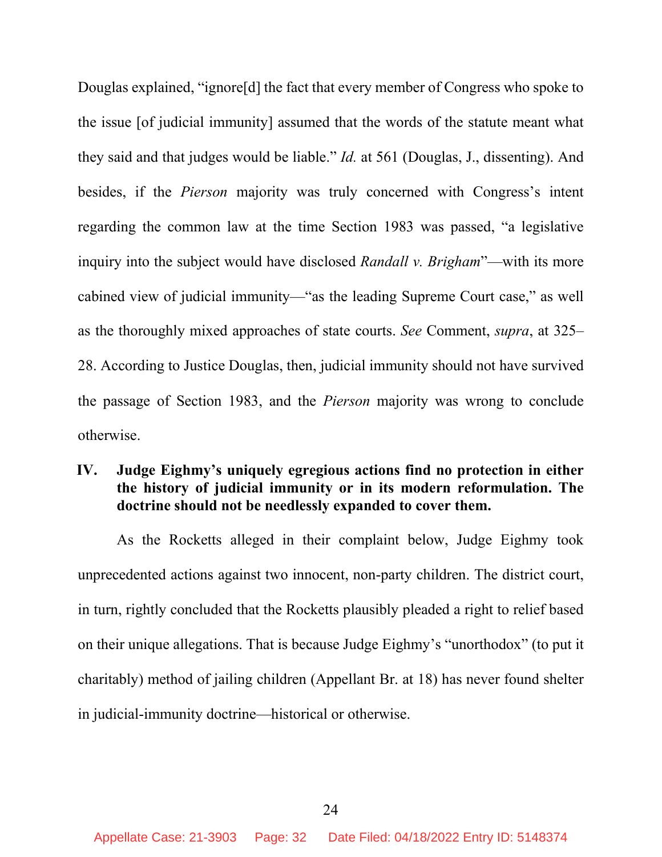Douglas explained, "ignore[d] the fact that every member of Congress who spoke to the issue [of judicial immunity] assumed that the words of the statute meant what they said and that judges would be liable." *Id.* at 561 (Douglas, J., dissenting). And besides, if the *Pierson* majority was truly concerned with Congress's intent regarding the common law at the time Section 1983 was passed, "a legislative inquiry into the subject would have disclosed *Randall v. Brigham*"—with its more cabined view of judicial immunity—"as the leading Supreme Court case," as well as the thoroughly mixed approaches of state courts. *See* Comment, *supra*, at 325– 28. According to Justice Douglas, then, judicial immunity should not have survived the passage of Section 1983, and the *Pierson* majority was wrong to conclude otherwise.

#### **IV. Judge Eighmy's uniquely egregious actions find no protection in either the history of judicial immunity or in its modern reformulation. The doctrine should not be needlessly expanded to cover them.**

As the Rocketts alleged in their complaint below, Judge Eighmy took unprecedented actions against two innocent, non-party children. The district court, in turn, rightly concluded that the Rocketts plausibly pleaded a right to relief based on their unique allegations. That is because Judge Eighmy's "unorthodox" (to put it charitably) method of jailing children (Appellant Br. at 18) has never found shelter in judicial-immunity doctrine—historical or otherwise.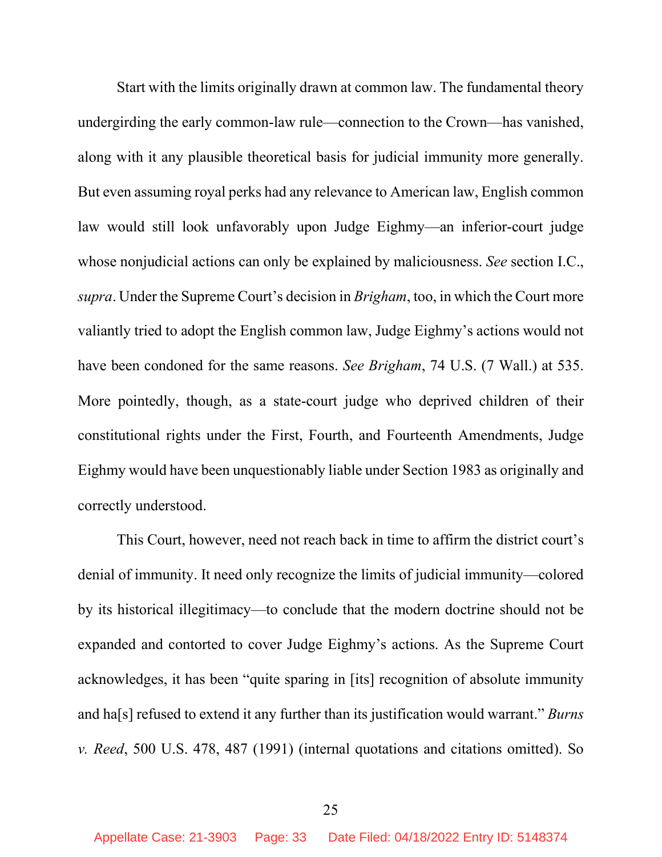Start with the limits originally drawn at common law. The fundamental theory undergirding the early common-law rule—connection to the Crown—has vanished, along with it any plausible theoretical basis for judicial immunity more generally. But even assuming royal perks had any relevance to American law, English common law would still look unfavorably upon Judge Eighmy—an inferior-court judge whose nonjudicial actions can only be explained by maliciousness. *See* section I.C., *supra*. Under the Supreme Court's decision in *Brigham*, too, in which the Court more valiantly tried to adopt the English common law, Judge Eighmy's actions would not have been condoned for the same reasons. *See Brigham*, 74 U.S. (7 Wall.) at 535. More pointedly, though, as a state-court judge who deprived children of their constitutional rights under the First, Fourth, and Fourteenth Amendments, Judge Eighmy would have been unquestionably liable under Section 1983 as originally and correctly understood.

This Court, however, need not reach back in time to affirm the district court's denial of immunity. It need only recognize the limits of judicial immunity—colored by its historical illegitimacy—to conclude that the modern doctrine should not be expanded and contorted to cover Judge Eighmy's actions. As the Supreme Court acknowledges, it has been "quite sparing in [its] recognition of absolute immunity and ha[s] refused to extend it any further than its justification would warrant." *Burns v. Reed*, 500 U.S. 478, 487 (1991) (internal quotations and citations omitted). So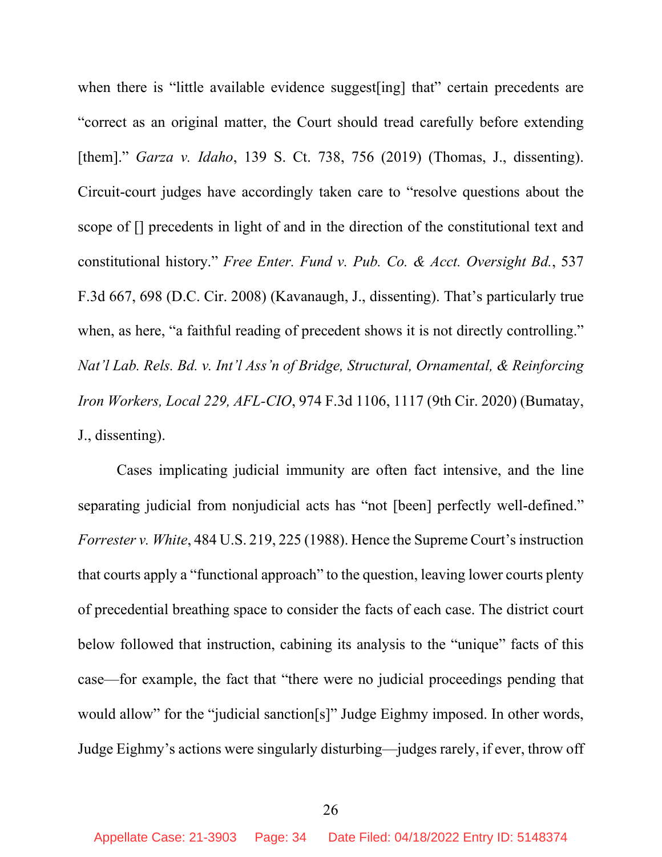when there is "little available evidence suggest [ing] that" certain precedents are "correct as an original matter, the Court should tread carefully before extending [them]." *Garza v. Idaho*, 139 S. Ct. 738, 756 (2019) (Thomas, J., dissenting). Circuit-court judges have accordingly taken care to "resolve questions about the scope of [] precedents in light of and in the direction of the constitutional text and constitutional history." *Free Enter. Fund v. Pub. Co. & Acct. Oversight Bd.*, 537 F.3d 667, 698 (D.C. Cir. 2008) (Kavanaugh, J., dissenting). That's particularly true when, as here, "a faithful reading of precedent shows it is not directly controlling." *Nat'l Lab. Rels. Bd. v. Int'l Ass'n of Bridge, Structural, Ornamental, & Reinforcing Iron Workers, Local 229, AFL-CIO*, 974 F.3d 1106, 1117 (9th Cir. 2020) (Bumatay, J., dissenting).

Cases implicating judicial immunity are often fact intensive, and the line separating judicial from nonjudicial acts has "not [been] perfectly well-defined." *Forrester v. White*, 484 U.S. 219, 225 (1988). Hence the Supreme Court's instruction that courts apply a "functional approach" to the question, leaving lower courts plenty of precedential breathing space to consider the facts of each case. The district court below followed that instruction, cabining its analysis to the "unique" facts of this case—for example, the fact that "there were no judicial proceedings pending that would allow" for the "judicial sanction[s]" Judge Eighmy imposed. In other words, Judge Eighmy's actions were singularly disturbing—judges rarely, if ever, throw off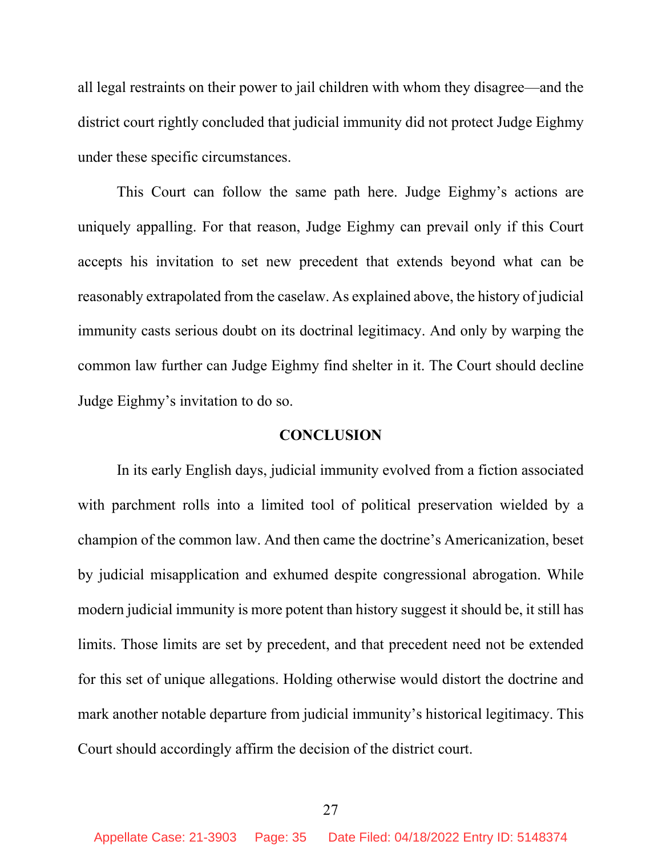all legal restraints on their power to jail children with whom they disagree—and the district court rightly concluded that judicial immunity did not protect Judge Eighmy under these specific circumstances.

This Court can follow the same path here. Judge Eighmy's actions are uniquely appalling. For that reason, Judge Eighmy can prevail only if this Court accepts his invitation to set new precedent that extends beyond what can be reasonably extrapolated from the caselaw. As explained above, the history of judicial immunity casts serious doubt on its doctrinal legitimacy. And only by warping the common law further can Judge Eighmy find shelter in it. The Court should decline Judge Eighmy's invitation to do so.

#### **CONCLUSION**

In its early English days, judicial immunity evolved from a fiction associated with parchment rolls into a limited tool of political preservation wielded by a champion of the common law. And then came the doctrine's Americanization, beset by judicial misapplication and exhumed despite congressional abrogation. While modern judicial immunity is more potent than history suggest it should be, it still has limits. Those limits are set by precedent, and that precedent need not be extended for this set of unique allegations. Holding otherwise would distort the doctrine and mark another notable departure from judicial immunity's historical legitimacy. This Court should accordingly affirm the decision of the district court.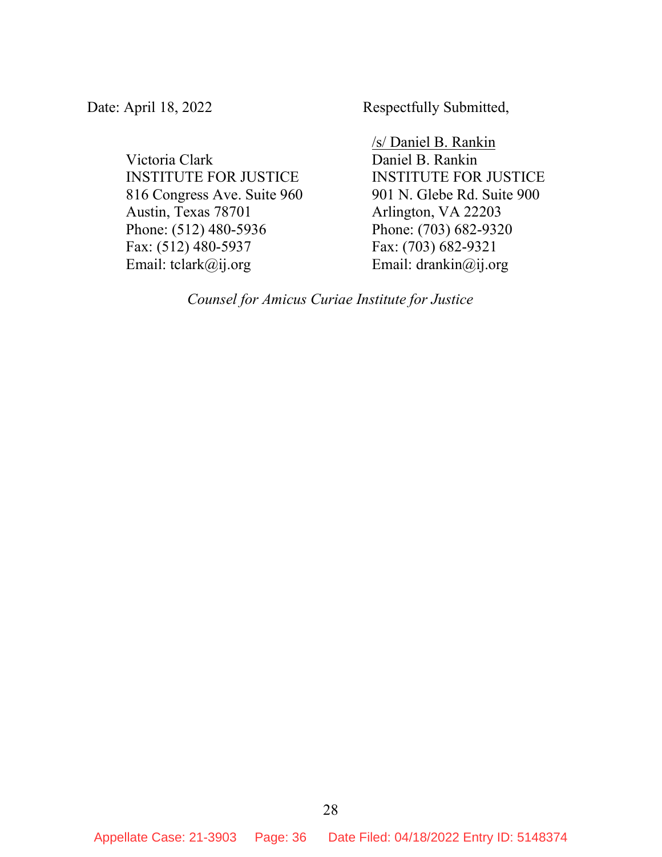Victoria Clark INSTITUTE FOR JUSTICE 816 Congress Ave. Suite 960 Austin, Texas 78701 Phone: (512) 480-5936 Fax: (512) 480-5937 Email: tclark@ij.org

Date: April 18, 2022 Respectfully Submitted,

/s/ Daniel B. Rankin Daniel B. Rankin INSTITUTE FOR JUSTICE 901 N. Glebe Rd. Suite 900 Arlington, VA 22203 Phone: (703) 682-9320 Fax: (703) 682-9321 Email: drankin@ij.org

*Counsel for Amicus Curiae Institute for Justice*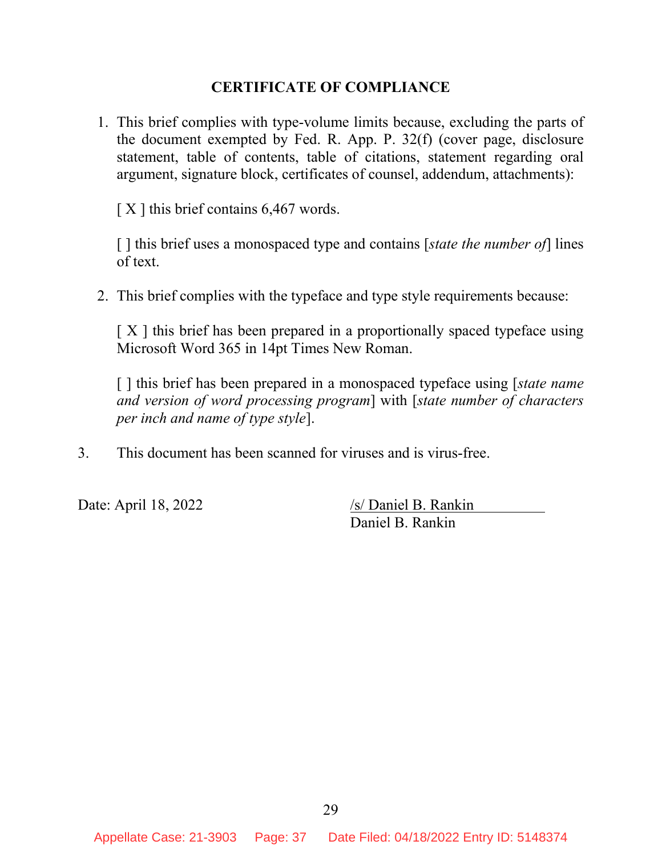#### **CERTIFICATE OF COMPLIANCE**

1. This brief complies with type-volume limits because, excluding the parts of the document exempted by Fed. R. App. P. 32(f) (cover page, disclosure statement, table of contents, table of citations, statement regarding oral argument, signature block, certificates of counsel, addendum, attachments):

 $[X]$  this brief contains 6,467 words.

[ ] this brief uses a monospaced type and contains [*state the number of*] lines of text.

2. This brief complies with the typeface and type style requirements because:

[X] this brief has been prepared in a proportionally spaced typeface using Microsoft Word 365 in 14pt Times New Roman.

[ ] this brief has been prepared in a monospaced typeface using [*state name and version of word processing program*] with [*state number of characters per inch and name of type style*].

3. This document has been scanned for viruses and is virus-free.

Date: April 18, 2022 /s/ Daniel B. Rankin Daniel B. Rankin